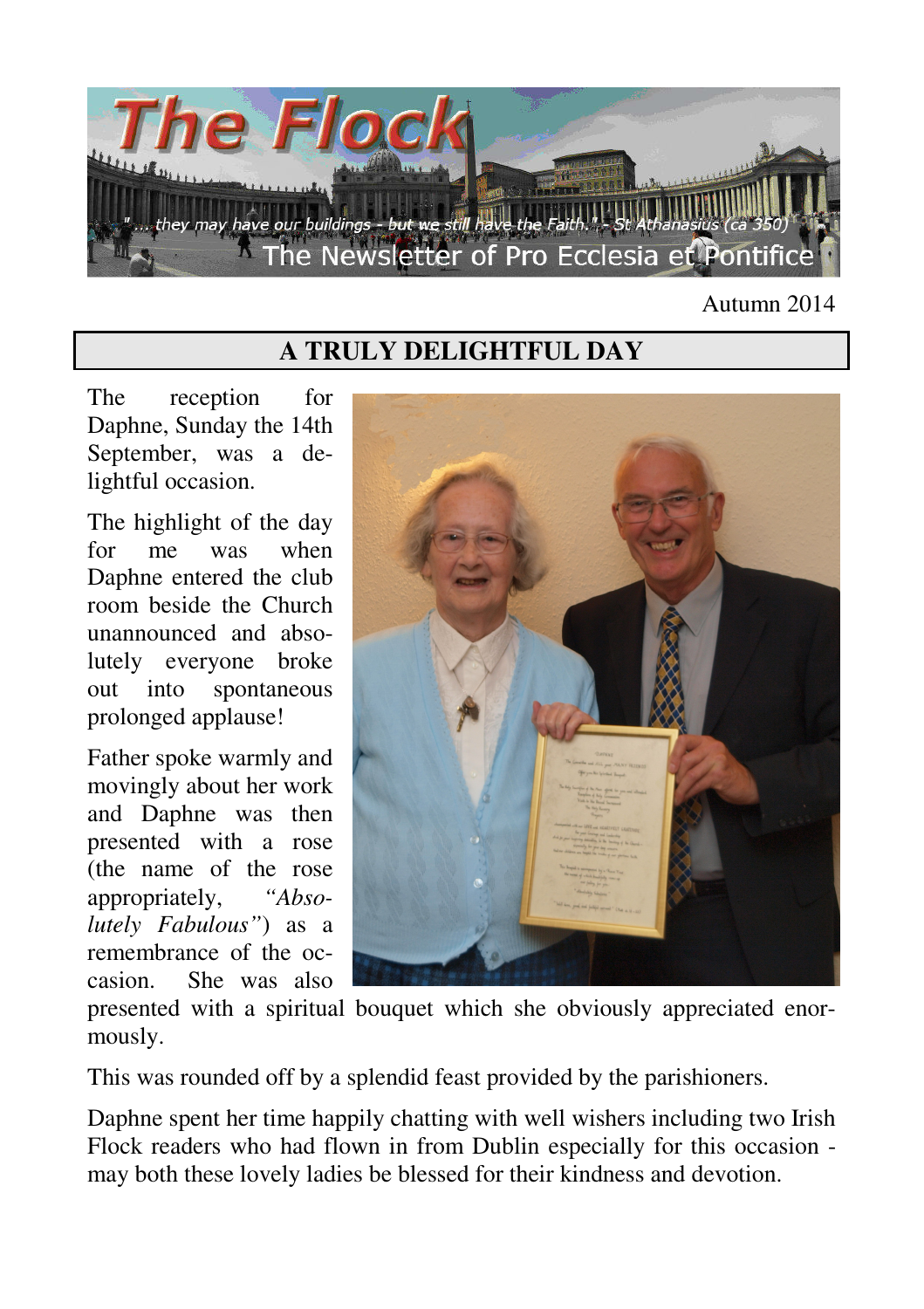

#### Autumn 2014

### **A TRULY DELIGHTFUL DAY**

The reception for Daphne, Sunday the 14th September, was a delightful occasion.

The highlight of the day for me was when Daphne entered the club room beside the Church unannounced and absolutely everyone broke out into spontaneous prolonged applause!

Father spoke warmly and movingly about her work and Daphne was then presented with a rose (the name of the rose appropriately, *"Absolutely Fabulous"*) as a remembrance of the occasion. She was also



presented with a spiritual bouquet which she obviously appreciated enormously.

This was rounded off by a splendid feast provided by the parishioners.

Daphne spent her time happily chatting with well wishers including two Irish Flock readers who had flown in from Dublin especially for this occasion may both these lovely ladies be blessed for their kindness and devotion.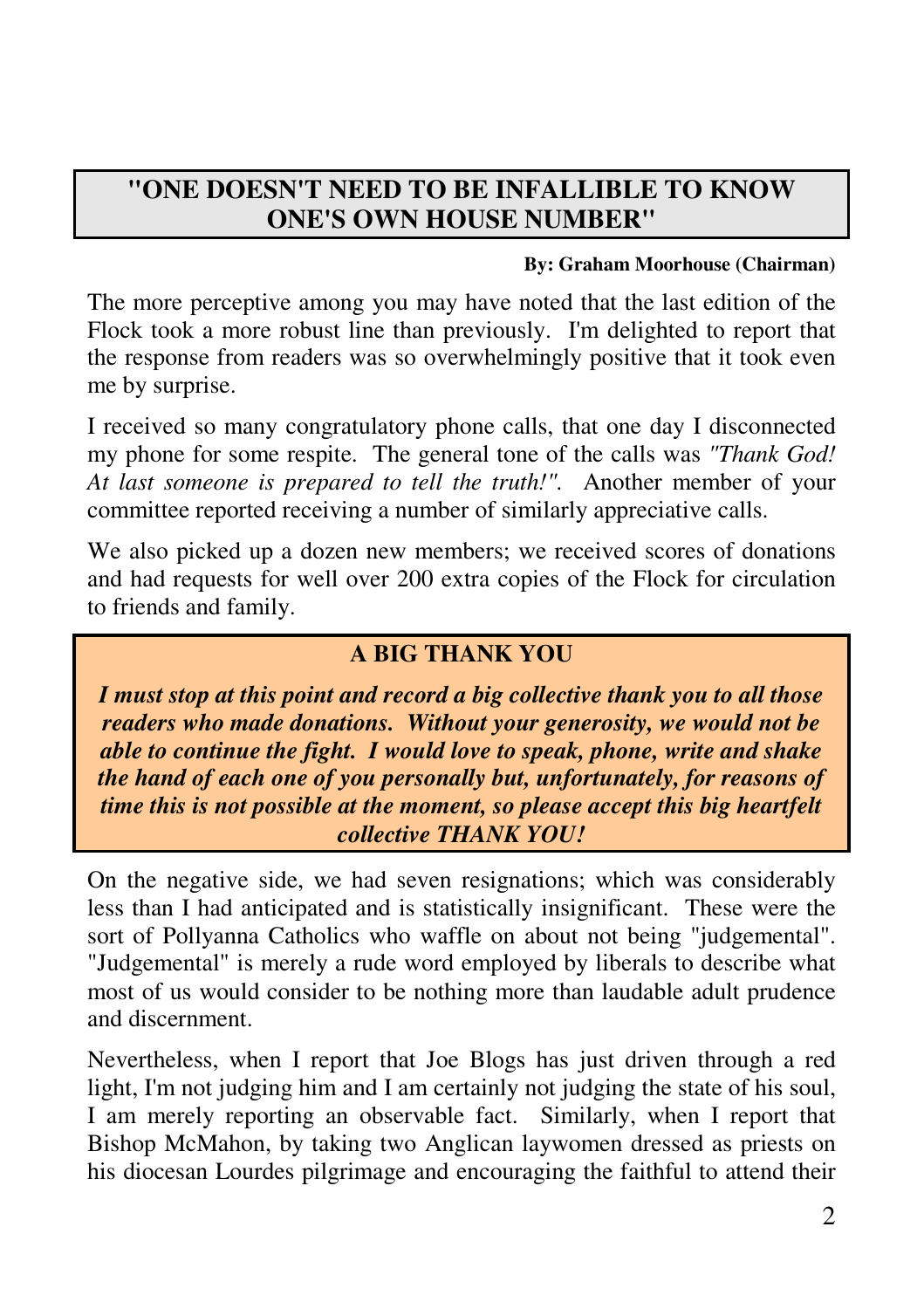# **"ONE DOESN'T NEED TO BE INFALLIBLE TO KNOW ONE'S OWN HOUSE NUMBER"**

#### **By: Graham Moorhouse (Chairman)**

The more perceptive among you may have noted that the last edition of the Flock took a more robust line than previously. I'm delighted to report that the response from readers was so overwhelmingly positive that it took even me by surprise.

I received so many congratulatory phone calls, that one day I disconnected my phone for some respite. The general tone of the calls was *"Thank God! At last someone is prepared to tell the truth!".* Another member of your committee reported receiving a number of similarly appreciative calls.

We also picked up a dozen new members; we received scores of donations and had requests for well over 200 extra copies of the Flock for circulation to friends and family.

#### **A BIG THANK YOU**

*I must stop at this point and record a big collective thank you to all those readers who made donations. Without your generosity, we would not be able to continue the fight. I would love to speak, phone, write and shake the hand of each one of you personally but, unfortunately, for reasons of time this is not possible at the moment, so please accept this big heartfelt collective THANK YOU!* 

On the negative side, we had seven resignations; which was considerably less than I had anticipated and is statistically insignificant. These were the sort of Pollyanna Catholics who waffle on about not being "judgemental". "Judgemental" is merely a rude word employed by liberals to describe what most of us would consider to be nothing more than laudable adult prudence and discernment.

Nevertheless, when I report that Joe Blogs has just driven through a red light, I'm not judging him and I am certainly not judging the state of his soul, I am merely reporting an observable fact. Similarly, when I report that Bishop McMahon, by taking two Anglican laywomen dressed as priests on his diocesan Lourdes pilgrimage and encouraging the faithful to attend their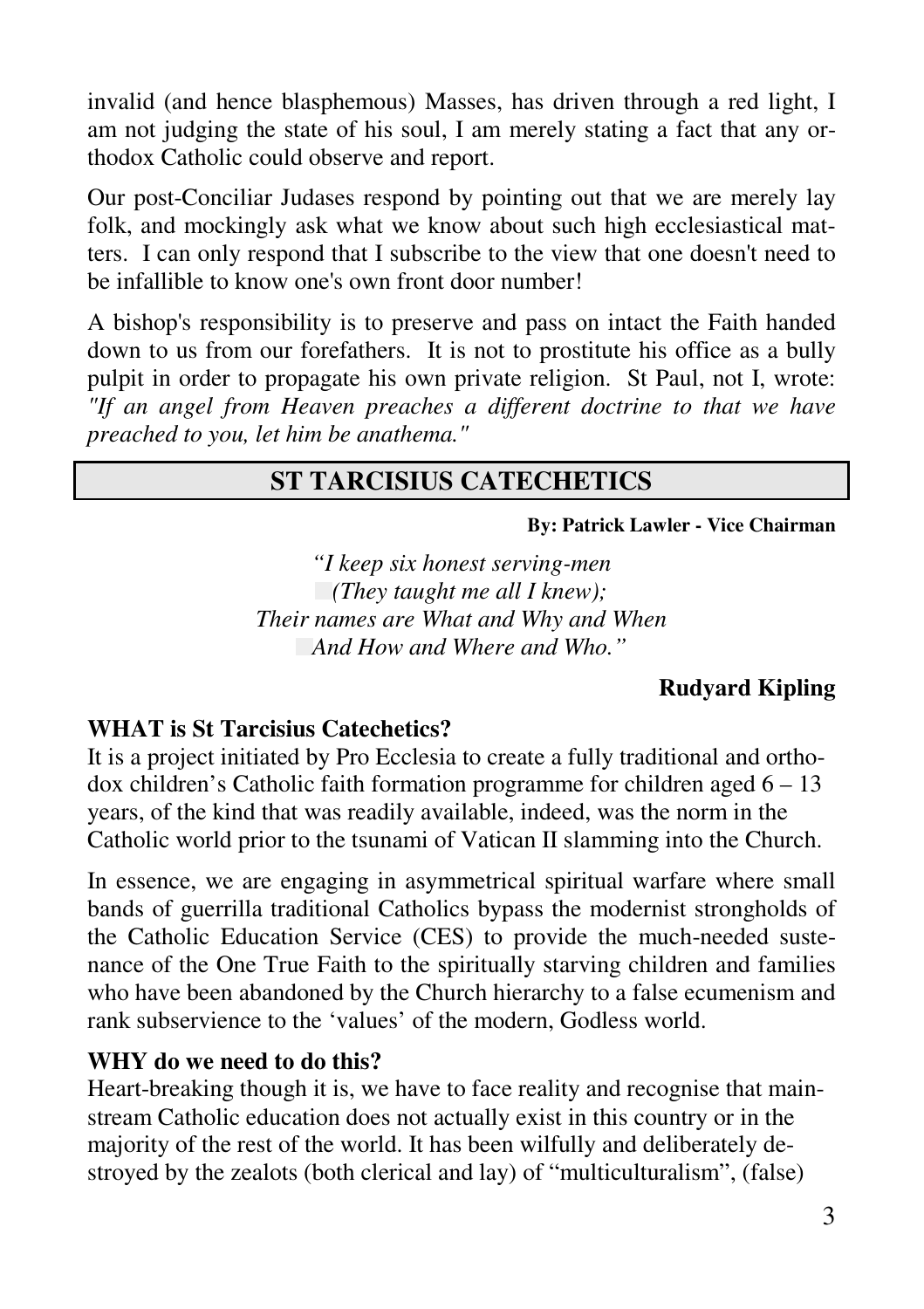invalid (and hence blasphemous) Masses, has driven through a red light, I am not judging the state of his soul, I am merely stating a fact that any orthodox Catholic could observe and report.

Our post-Conciliar Judases respond by pointing out that we are merely lay folk, and mockingly ask what we know about such high ecclesiastical matters. I can only respond that I subscribe to the view that one doesn't need to be infallible to know one's own front door number!

A bishop's responsibility is to preserve and pass on intact the Faith handed down to us from our forefathers. It is not to prostitute his office as a bully pulpit in order to propagate his own private religion. St Paul, not I, wrote: *"If an angel from Heaven preaches a different doctrine to that we have preached to you, let him be anathema."* 

### **ST TARCISIUS CATECHETICS**

#### **By: Patrick Lawler - Vice Chairman**

*"I keep six honest serving-men (They taught me all I knew); Their names are What and Why and When And How and Where and Who."* 

#### **Rudyard Kipling**

#### **WHAT is St Tarcisius Catechetics?**

It is a project initiated by Pro Ecclesia to create a fully traditional and orthodox children's Catholic faith formation programme for children aged  $6 - 13$ years, of the kind that was readily available, indeed, was the norm in the Catholic world prior to the tsunami of Vatican II slamming into the Church.

In essence, we are engaging in asymmetrical spiritual warfare where small bands of guerrilla traditional Catholics bypass the modernist strongholds of the Catholic Education Service (CES) to provide the much-needed sustenance of the One True Faith to the spiritually starving children and families who have been abandoned by the Church hierarchy to a false ecumenism and rank subservience to the 'values' of the modern, Godless world.

#### **WHY do we need to do this?**

Heart-breaking though it is, we have to face reality and recognise that mainstream Catholic education does not actually exist in this country or in the majority of the rest of the world. It has been wilfully and deliberately destroyed by the zealots (both clerical and lay) of "multiculturalism", (false)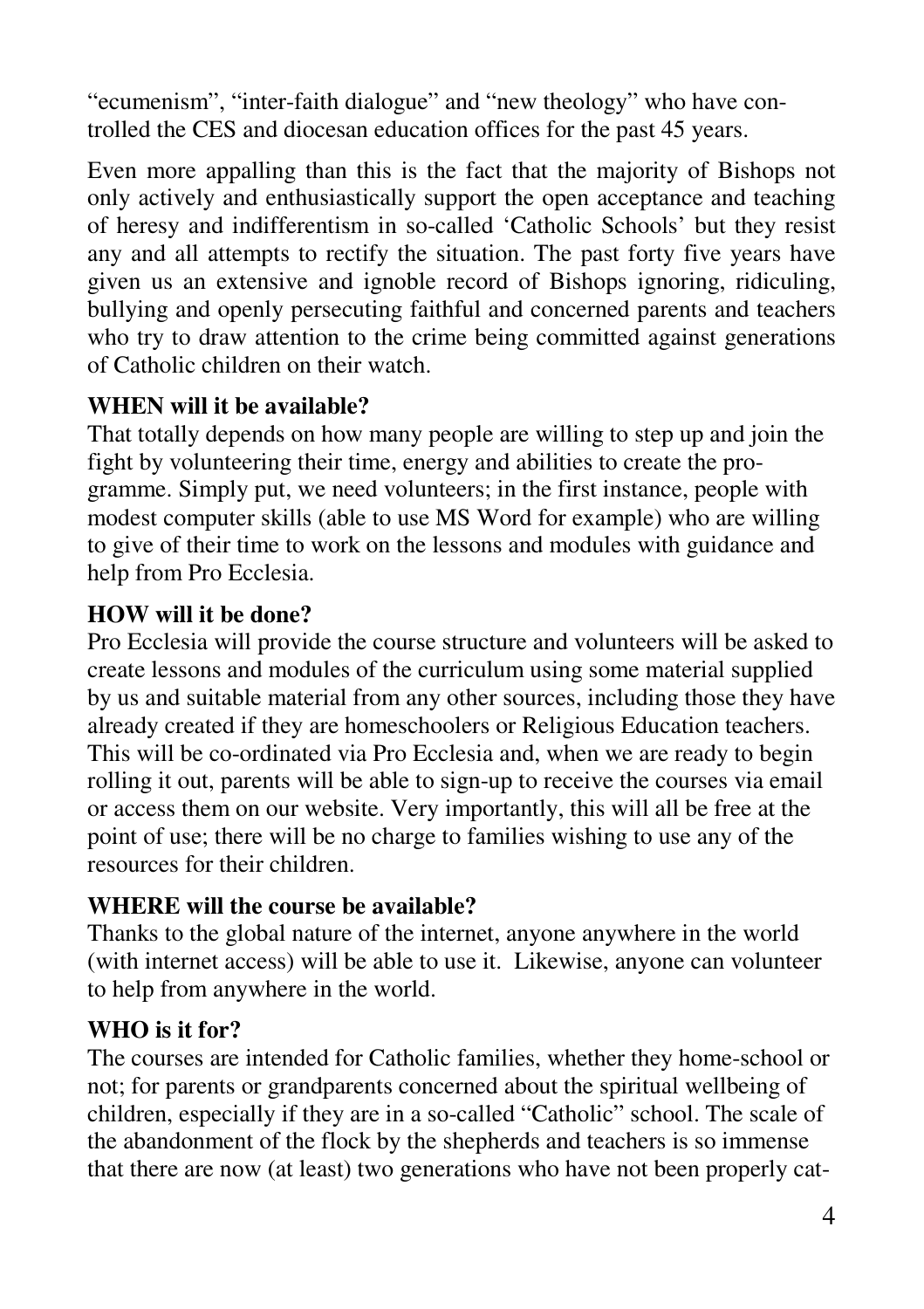"ecumenism", "inter-faith dialogue" and "new theology" who have controlled the CES and diocesan education offices for the past 45 years.

Even more appalling than this is the fact that the majority of Bishops not only actively and enthusiastically support the open acceptance and teaching of heresy and indifferentism in so-called 'Catholic Schools' but they resist any and all attempts to rectify the situation. The past forty five years have given us an extensive and ignoble record of Bishops ignoring, ridiculing, bullying and openly persecuting faithful and concerned parents and teachers who try to draw attention to the crime being committed against generations of Catholic children on their watch.

#### **WHEN will it be available?**

That totally depends on how many people are willing to step up and join the fight by volunteering their time, energy and abilities to create the programme. Simply put, we need volunteers; in the first instance, people with modest computer skills (able to use MS Word for example) who are willing to give of their time to work on the lessons and modules with guidance and help from Pro Ecclesia.

#### **HOW will it be done?**

Pro Ecclesia will provide the course structure and volunteers will be asked to create lessons and modules of the curriculum using some material supplied by us and suitable material from any other sources, including those they have already created if they are homeschoolers or Religious Education teachers. This will be co-ordinated via Pro Ecclesia and, when we are ready to begin rolling it out, parents will be able to sign-up to receive the courses via email or access them on our website. Very importantly, this will all be free at the point of use; there will be no charge to families wishing to use any of the resources for their children.

#### **WHERE will the course be available?**

Thanks to the global nature of the internet, anyone anywhere in the world (with internet access) will be able to use it. Likewise, anyone can volunteer to help from anywhere in the world.

### **WHO is it for?**

The courses are intended for Catholic families, whether they home-school or not; for parents or grandparents concerned about the spiritual wellbeing of children, especially if they are in a so-called "Catholic" school. The scale of the abandonment of the flock by the shepherds and teachers is so immense that there are now (at least) two generations who have not been properly cat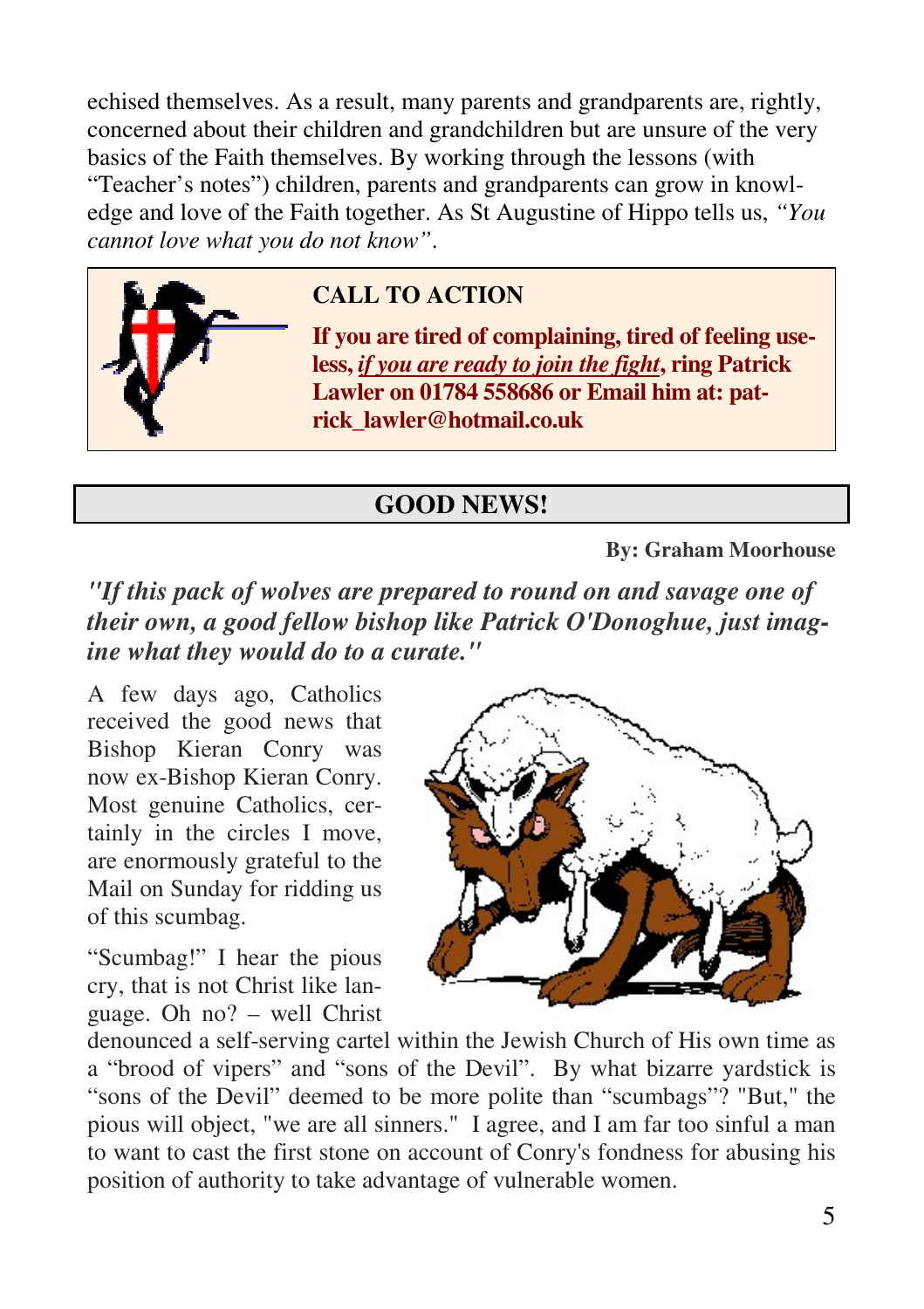echised themselves. As a result, many parents and grandparents are, rightly, concerned about their children and grandchildren but are unsure of the very basics of the Faith themselves. By working through the lessons (with "Teacher's notes") children, parents and grandparents can grow in knowledge and love of the Faith together. As St Augustine of Hippo tells us, *"You cannot love what you do not know"*.



## **CALL TO ACTION**

**If you are tired of complaining, tired of feeling useless,** *if you are ready to join the fight***, ring Patrick Lawler on 01784 558686 or Email him at: patrick\_lawler@hotmail.co.uk**

#### **GOOD NEWS!**

**By: Graham Moorhouse** 

*"If this pack of wolves are prepared to round on and savage one of their own, a good fellow bishop like Patrick O'Donoghue, just imagine what they would do to a curate."* 

A few days ago, Catholics received the good news that Bishop Kieran Conry was now ex-Bishop Kieran Conry. Most genuine Catholics, certainly in the circles I move, are enormously grateful to the Mail on Sunday for ridding us of this scumbag.

"Scumbag!" I hear the pious cry, that is not Christ like language. Oh no? – well Christ



denounced a self-serving cartel within the Jewish Church of His own time as a "brood of vipers" and "sons of the Devil". By what bizarre yardstick is "sons of the Devil" deemed to be more polite than "scumbags"? "But," the pious will object, "we are all sinners." I agree, and I am far too sinful a man to want to cast the first stone on account of Conry's fondness for abusing his position of authority to take advantage of vulnerable women.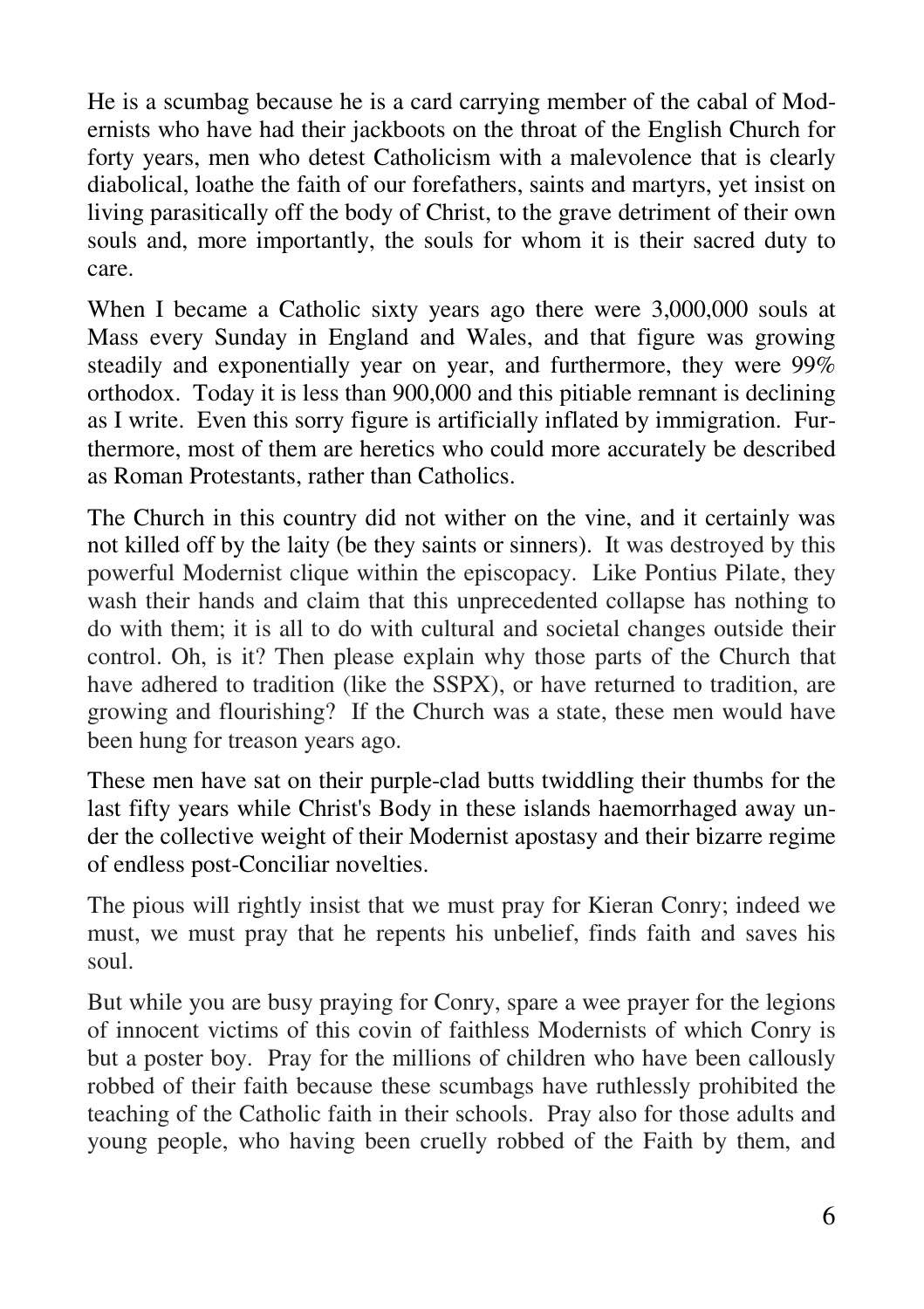He is a scumbag because he is a card carrying member of the cabal of Modernists who have had their jackboots on the throat of the English Church for forty years, men who detest Catholicism with a malevolence that is clearly diabolical, loathe the faith of our forefathers, saints and martyrs, yet insist on living parasitically off the body of Christ, to the grave detriment of their own souls and, more importantly, the souls for whom it is their sacred duty to care.

When I became a Catholic sixty years ago there were 3,000,000 souls at Mass every Sunday in England and Wales, and that figure was growing steadily and exponentially year on year, and furthermore, they were 99% orthodox. Today it is less than 900,000 and this pitiable remnant is declining as I write. Even this sorry figure is artificially inflated by immigration. Furthermore, most of them are heretics who could more accurately be described as Roman Protestants, rather than Catholics.

The Church in this country did not wither on the vine, and it certainly was not killed off by the laity (be they saints or sinners). It was destroyed by this powerful Modernist clique within the episcopacy. Like Pontius Pilate, they wash their hands and claim that this unprecedented collapse has nothing to do with them; it is all to do with cultural and societal changes outside their control. Oh, is it? Then please explain why those parts of the Church that have adhered to tradition (like the SSPX), or have returned to tradition, are growing and flourishing? If the Church was a state, these men would have been hung for treason years ago.

These men have sat on their purple-clad butts twiddling their thumbs for the last fifty years while Christ's Body in these islands haemorrhaged away under the collective weight of their Modernist apostasy and their bizarre regime of endless post-Conciliar novelties.

The pious will rightly insist that we must pray for Kieran Conry; indeed we must, we must pray that he repents his unbelief, finds faith and saves his soul.

But while you are busy praying for Conry, spare a wee prayer for the legions of innocent victims of this covin of faithless Modernists of which Conry is but a poster boy. Pray for the millions of children who have been callously robbed of their faith because these scumbags have ruthlessly prohibited the teaching of the Catholic faith in their schools. Pray also for those adults and young people, who having been cruelly robbed of the Faith by them, and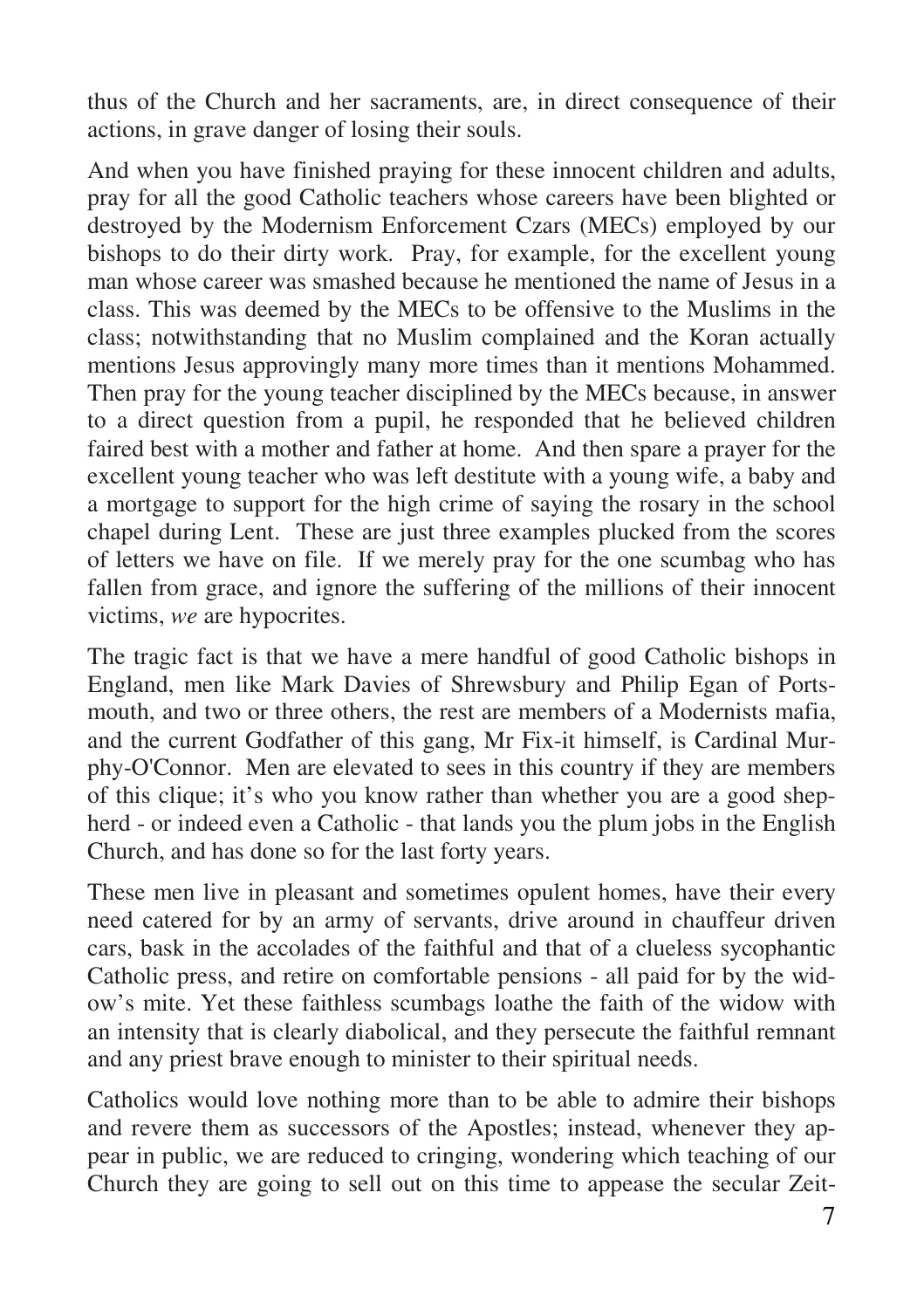thus of the Church and her sacraments, are, in direct consequence of their actions, in grave danger of losing their souls.

And when you have finished praying for these innocent children and adults, pray for all the good Catholic teachers whose careers have been blighted or destroyed by the Modernism Enforcement Czars (MECs) employed by our bishops to do their dirty work. Pray, for example, for the excellent young man whose career was smashed because he mentioned the name of Jesus in a class. This was deemed by the MECs to be offensive to the Muslims in the class; notwithstanding that no Muslim complained and the Koran actually mentions Jesus approvingly many more times than it mentions Mohammed. Then pray for the young teacher disciplined by the MECs because, in answer to a direct question from a pupil, he responded that he believed children faired best with a mother and father at home. And then spare a prayer for the excellent young teacher who was left destitute with a young wife, a baby and a mortgage to support for the high crime of saying the rosary in the school chapel during Lent. These are just three examples plucked from the scores of letters we have on file. If we merely pray for the one scumbag who has fallen from grace, and ignore the suffering of the millions of their innocent victims, *we* are hypocrites.

The tragic fact is that we have a mere handful of good Catholic bishops in England, men like Mark Davies of Shrewsbury and Philip Egan of Portsmouth, and two or three others, the rest are members of a Modernists mafia, and the current Godfather of this gang, Mr Fix-it himself, is Cardinal Murphy-O'Connor. Men are elevated to sees in this country if they are members of this clique; it's who you know rather than whether you are a good shepherd - or indeed even a Catholic - that lands you the plum jobs in the English Church, and has done so for the last forty years.

These men live in pleasant and sometimes opulent homes, have their every need catered for by an army of servants, drive around in chauffeur driven cars, bask in the accolades of the faithful and that of a clueless sycophantic Catholic press, and retire on comfortable pensions - all paid for by the widow's mite. Yet these faithless scumbags loathe the faith of the widow with an intensity that is clearly diabolical, and they persecute the faithful remnant and any priest brave enough to minister to their spiritual needs.

Catholics would love nothing more than to be able to admire their bishops and revere them as successors of the Apostles; instead, whenever they appear in public, we are reduced to cringing, wondering which teaching of our Church they are going to sell out on this time to appease the secular Zeit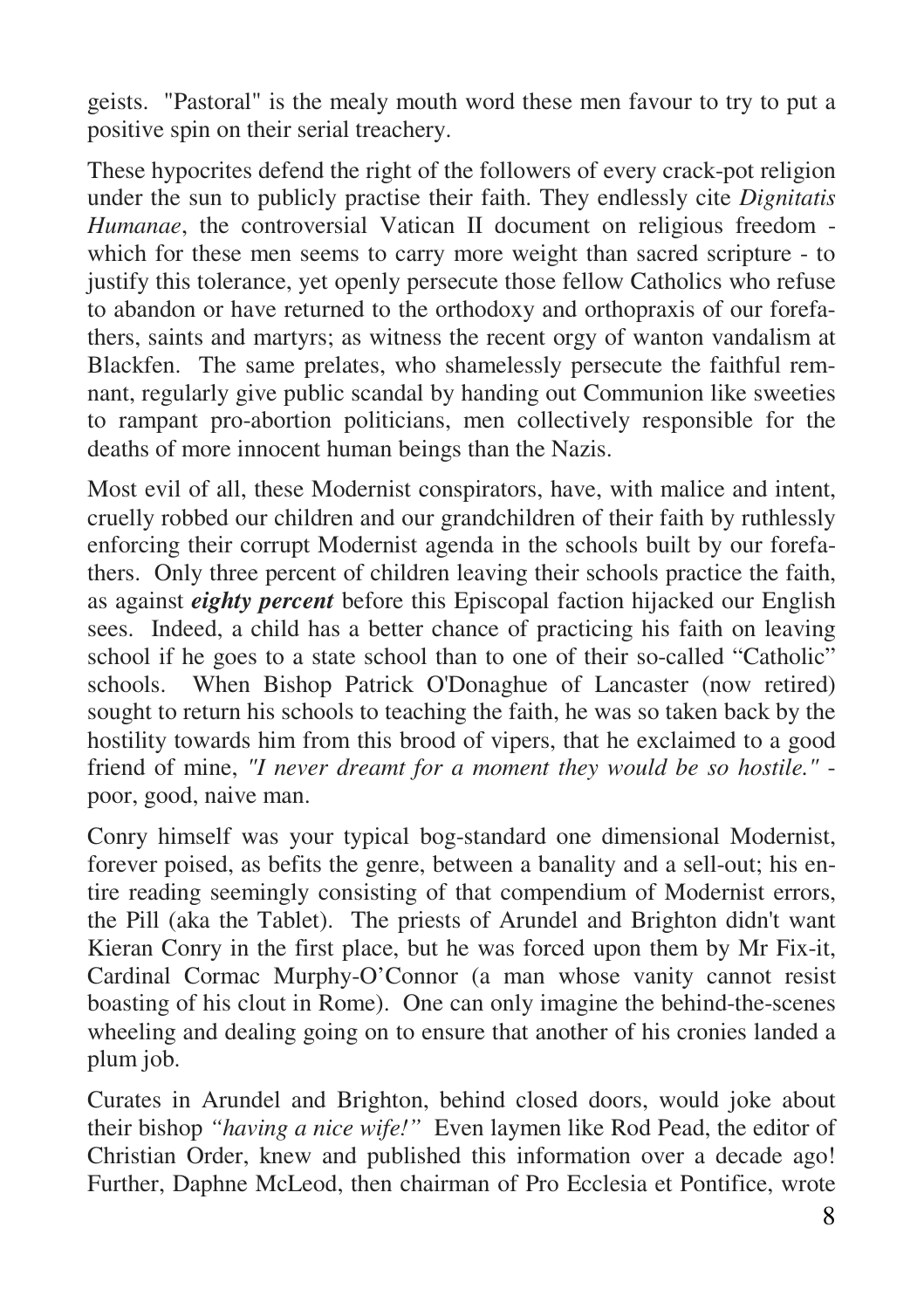geists. "Pastoral" is the mealy mouth word these men favour to try to put a positive spin on their serial treachery.

These hypocrites defend the right of the followers of every crack-pot religion under the sun to publicly practise their faith. They endlessly cite *Dignitatis Humanae*, the controversial Vatican II document on religious freedom which for these men seems to carry more weight than sacred scripture - to justify this tolerance, yet openly persecute those fellow Catholics who refuse to abandon or have returned to the orthodoxy and orthopraxis of our forefathers, saints and martyrs; as witness the recent orgy of wanton vandalism at Blackfen. The same prelates, who shamelessly persecute the faithful remnant, regularly give public scandal by handing out Communion like sweeties to rampant pro-abortion politicians, men collectively responsible for the deaths of more innocent human beings than the Nazis.

Most evil of all, these Modernist conspirators, have, with malice and intent, cruelly robbed our children and our grandchildren of their faith by ruthlessly enforcing their corrupt Modernist agenda in the schools built by our forefathers. Only three percent of children leaving their schools practice the faith, as against *eighty percent* before this Episcopal faction hijacked our English sees. Indeed, a child has a better chance of practicing his faith on leaving school if he goes to a state school than to one of their so-called "Catholic" schools. When Bishop Patrick O'Donaghue of Lancaster (now retired) sought to return his schools to teaching the faith, he was so taken back by the hostility towards him from this brood of vipers, that he exclaimed to a good friend of mine, *"I never dreamt for a moment they would be so hostile."* poor, good, naive man.

Conry himself was your typical bog-standard one dimensional Modernist, forever poised, as befits the genre, between a banality and a sell-out; his entire reading seemingly consisting of that compendium of Modernist errors, the Pill (aka the Tablet). The priests of Arundel and Brighton didn't want Kieran Conry in the first place, but he was forced upon them by Mr Fix-it, Cardinal Cormac Murphy-O'Connor (a man whose vanity cannot resist boasting of his clout in Rome). One can only imagine the behind-the-scenes wheeling and dealing going on to ensure that another of his cronies landed a plum job.

Curates in Arundel and Brighton, behind closed doors, would joke about their bishop *"having a nice wife!"* Even laymen like Rod Pead, the editor of Christian Order, knew and published this information over a decade ago! Further, Daphne McLeod, then chairman of Pro Ecclesia et Pontifice, wrote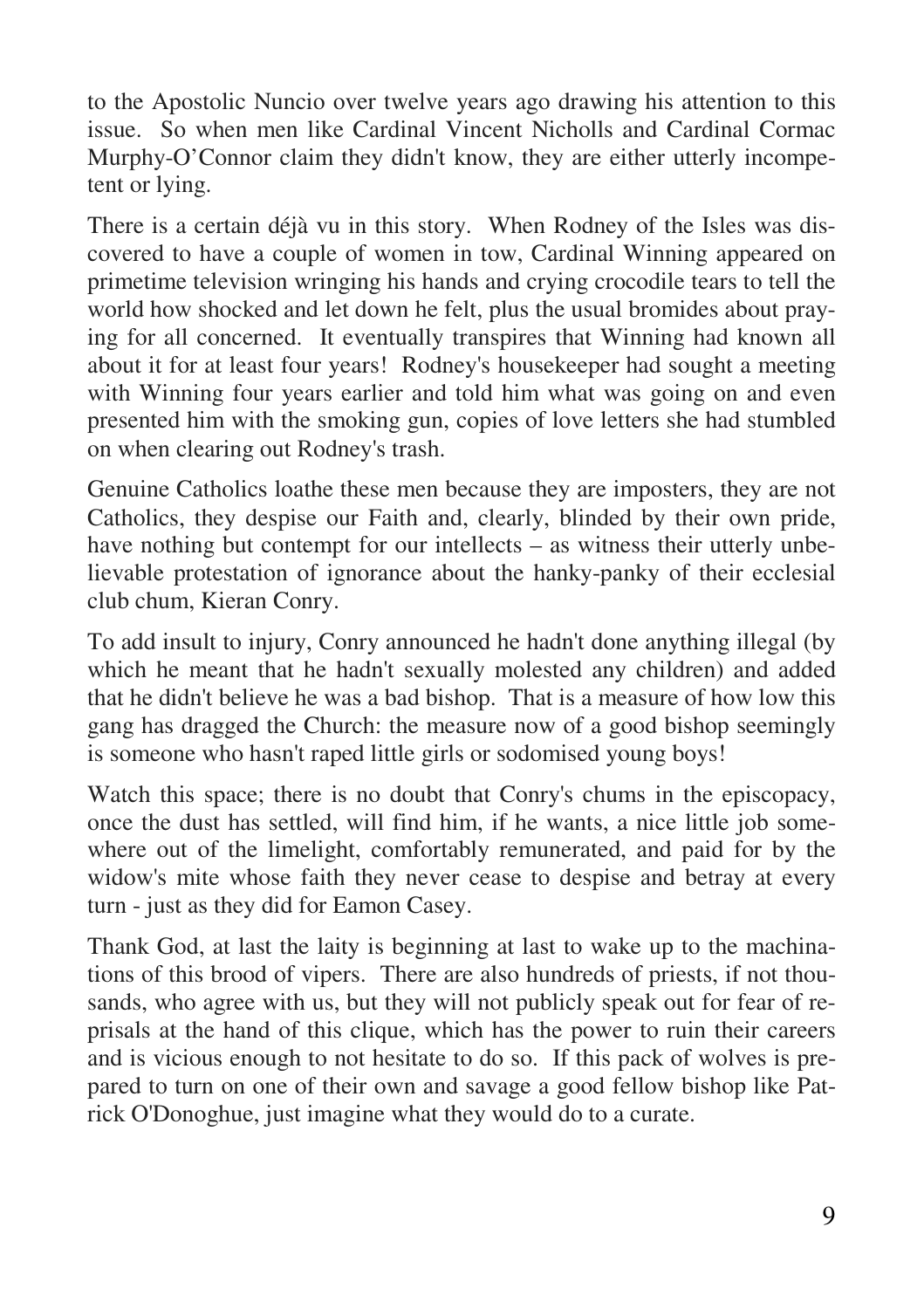to the Apostolic Nuncio over twelve years ago drawing his attention to this issue. So when men like Cardinal Vincent Nicholls and Cardinal Cormac Murphy-O'Connor claim they didn't know, they are either utterly incompetent or lying.

There is a certain déjà vu in this story. When Rodney of the Isles was discovered to have a couple of women in tow, Cardinal Winning appeared on primetime television wringing his hands and crying crocodile tears to tell the world how shocked and let down he felt, plus the usual bromides about praying for all concerned. It eventually transpires that Winning had known all about it for at least four years! Rodney's housekeeper had sought a meeting with Winning four years earlier and told him what was going on and even presented him with the smoking gun, copies of love letters she had stumbled on when clearing out Rodney's trash.

Genuine Catholics loathe these men because they are imposters, they are not Catholics, they despise our Faith and, clearly, blinded by their own pride, have nothing but contempt for our intellects – as witness their utterly unbelievable protestation of ignorance about the hanky-panky of their ecclesial club chum, Kieran Conry.

To add insult to injury, Conry announced he hadn't done anything illegal (by which he meant that he hadn't sexually molested any children) and added that he didn't believe he was a bad bishop. That is a measure of how low this gang has dragged the Church: the measure now of a good bishop seemingly is someone who hasn't raped little girls or sodomised young boys!

Watch this space; there is no doubt that Conry's chums in the episcopacy, once the dust has settled, will find him, if he wants, a nice little job somewhere out of the limelight, comfortably remunerated, and paid for by the widow's mite whose faith they never cease to despise and betray at every turn - just as they did for Eamon Casey.

Thank God, at last the laity is beginning at last to wake up to the machinations of this brood of vipers. There are also hundreds of priests, if not thousands, who agree with us, but they will not publicly speak out for fear of reprisals at the hand of this clique, which has the power to ruin their careers and is vicious enough to not hesitate to do so. If this pack of wolves is prepared to turn on one of their own and savage a good fellow bishop like Patrick O'Donoghue, just imagine what they would do to a curate.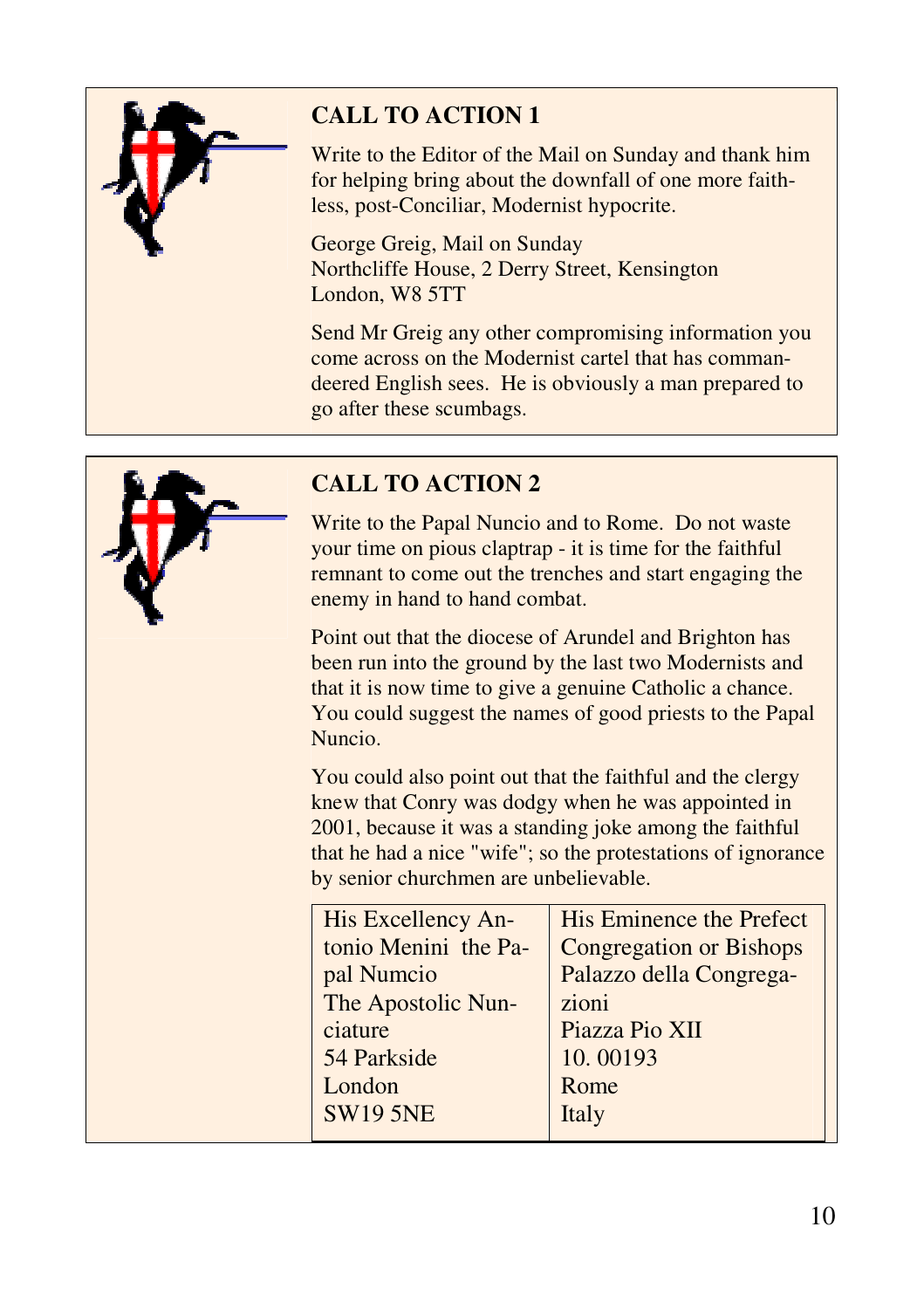

# **CALL TO ACTION 1**

Write to the Editor of the Mail on Sunday and thank him for helping bring about the downfall of one more faithless, post-Conciliar, Modernist hypocrite.

George Greig, Mail on Sunday Northcliffe House, 2 Derry Street, Kensington London, W8 5TT

Send Mr Greig any other compromising information you come across on the Modernist cartel that has commandeered English sees. He is obviously a man prepared to go after these scumbags.



## **CALL TO ACTION 2**

Write to the Papal Nuncio and to Rome. Do not waste your time on pious claptrap - it is time for the faithful remnant to come out the trenches and start engaging the enemy in hand to hand combat.

Point out that the diocese of Arundel and Brighton has been run into the ground by the last two Modernists and that it is now time to give a genuine Catholic a chance. You could suggest the names of good priests to the Papal

You could also point out that the faithful and the clergy knew that Conry was dodgy when he was appointed in 2001, because it was a standing joke among the faithful that he had a nice "wife"; so the protestations of ignorance by senior churchmen are unbelievable.

| <b>His Excellency An-</b> | His Eminence the Prefect       |
|---------------------------|--------------------------------|
| tonio Menini the Pa-      | <b>Congregation or Bishops</b> |
| pal Numcio                | Palazzo della Congrega-        |
| The Apostolic Nun-        | zioni                          |
| ciature                   | Piazza Pio XII                 |
| 54 Parkside               | 10.00193                       |
| London                    | Rome                           |
| <b>SW19 5NE</b>           | Italy                          |
|                           |                                |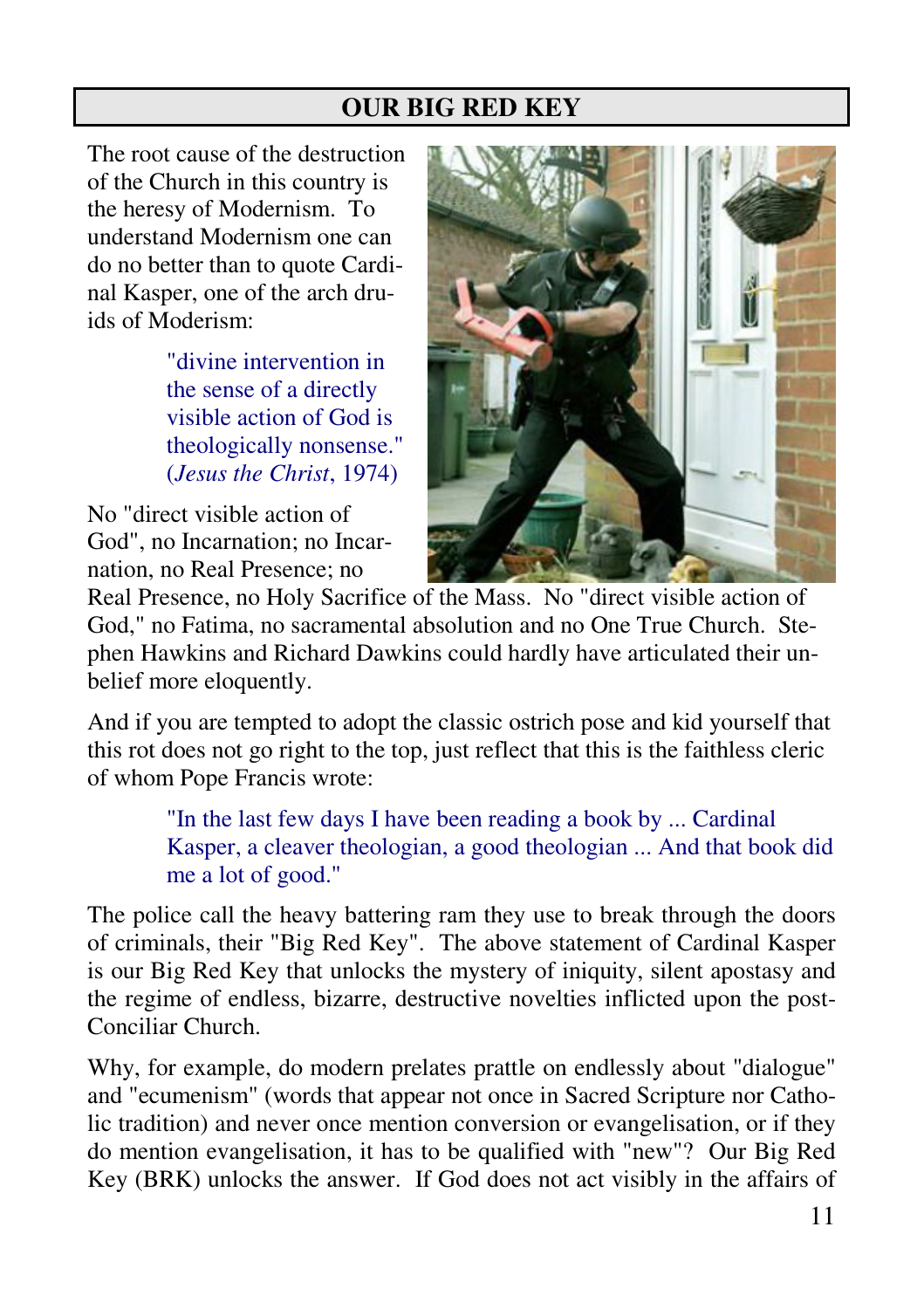## **OUR BIG RED KEY**

The root cause of the destruction of the Church in this country is the heresy of Modernism. To understand Modernism one can do no better than to quote Cardinal Kasper, one of the arch druids of Moderism:

> "divine intervention in the sense of a directly visible action of God is theologically nonsense." (*Jesus the Christ*, 1974)

No "direct visible action of God", no Incarnation; no Incarnation, no Real Presence; no



Real Presence, no Holy Sacrifice of the Mass. No "direct visible action of God," no Fatima, no sacramental absolution and no One True Church. Stephen Hawkins and Richard Dawkins could hardly have articulated their unbelief more eloquently.

And if you are tempted to adopt the classic ostrich pose and kid yourself that this rot does not go right to the top, just reflect that this is the faithless cleric of whom Pope Francis wrote:

> "In the last few days I have been reading a book by ... Cardinal Kasper, a cleaver theologian, a good theologian ... And that book did me a lot of good."

The police call the heavy battering ram they use to break through the doors of criminals, their "Big Red Key". The above statement of Cardinal Kasper is our Big Red Key that unlocks the mystery of iniquity, silent apostasy and the regime of endless, bizarre, destructive novelties inflicted upon the post-Conciliar Church.

Why, for example, do modern prelates prattle on endlessly about "dialogue" and "ecumenism" (words that appear not once in Sacred Scripture nor Catholic tradition) and never once mention conversion or evangelisation, or if they do mention evangelisation, it has to be qualified with "new"? Our Big Red Key (BRK) unlocks the answer. If God does not act visibly in the affairs of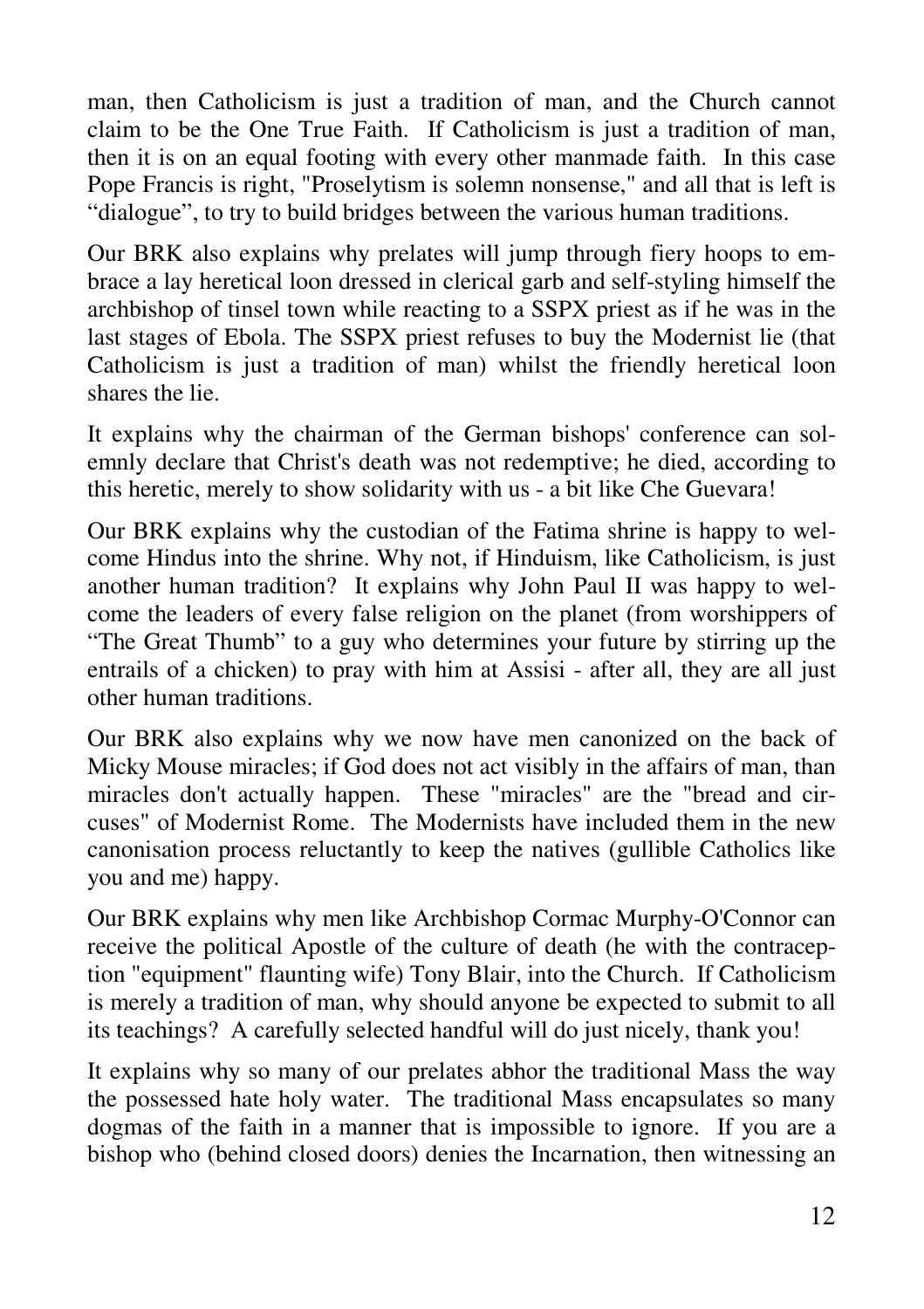man, then Catholicism is just a tradition of man, and the Church cannot claim to be the One True Faith. If Catholicism is just a tradition of man, then it is on an equal footing with every other manmade faith. In this case Pope Francis is right, "Proselytism is solemn nonsense," and all that is left is "dialogue", to try to build bridges between the various human traditions.

Our BRK also explains why prelates will jump through fiery hoops to embrace a lay heretical loon dressed in clerical garb and self-styling himself the archbishop of tinsel town while reacting to a SSPX priest as if he was in the last stages of Ebola. The SSPX priest refuses to buy the Modernist lie (that Catholicism is just a tradition of man) whilst the friendly heretical loon shares the lie.

It explains why the chairman of the German bishops' conference can solemnly declare that Christ's death was not redemptive; he died, according to this heretic, merely to show solidarity with us - a bit like Che Guevara!

Our BRK explains why the custodian of the Fatima shrine is happy to welcome Hindus into the shrine. Why not, if Hinduism, like Catholicism, is just another human tradition? It explains why John Paul II was happy to welcome the leaders of every false religion on the planet (from worshippers of "The Great Thumb" to a guy who determines your future by stirring up the entrails of a chicken) to pray with him at Assisi - after all, they are all just other human traditions.

Our BRK also explains why we now have men canonized on the back of Micky Mouse miracles; if God does not act visibly in the affairs of man, than miracles don't actually happen. These "miracles" are the "bread and circuses" of Modernist Rome. The Modernists have included them in the new canonisation process reluctantly to keep the natives (gullible Catholics like you and me) happy.

Our BRK explains why men like Archbishop Cormac Murphy-O'Connor can receive the political Apostle of the culture of death (he with the contraception "equipment" flaunting wife) Tony Blair, into the Church. If Catholicism is merely a tradition of man, why should anyone be expected to submit to all its teachings? A carefully selected handful will do just nicely, thank you!

It explains why so many of our prelates abhor the traditional Mass the way the possessed hate holy water. The traditional Mass encapsulates so many dogmas of the faith in a manner that is impossible to ignore. If you are a bishop who (behind closed doors) denies the Incarnation, then witnessing an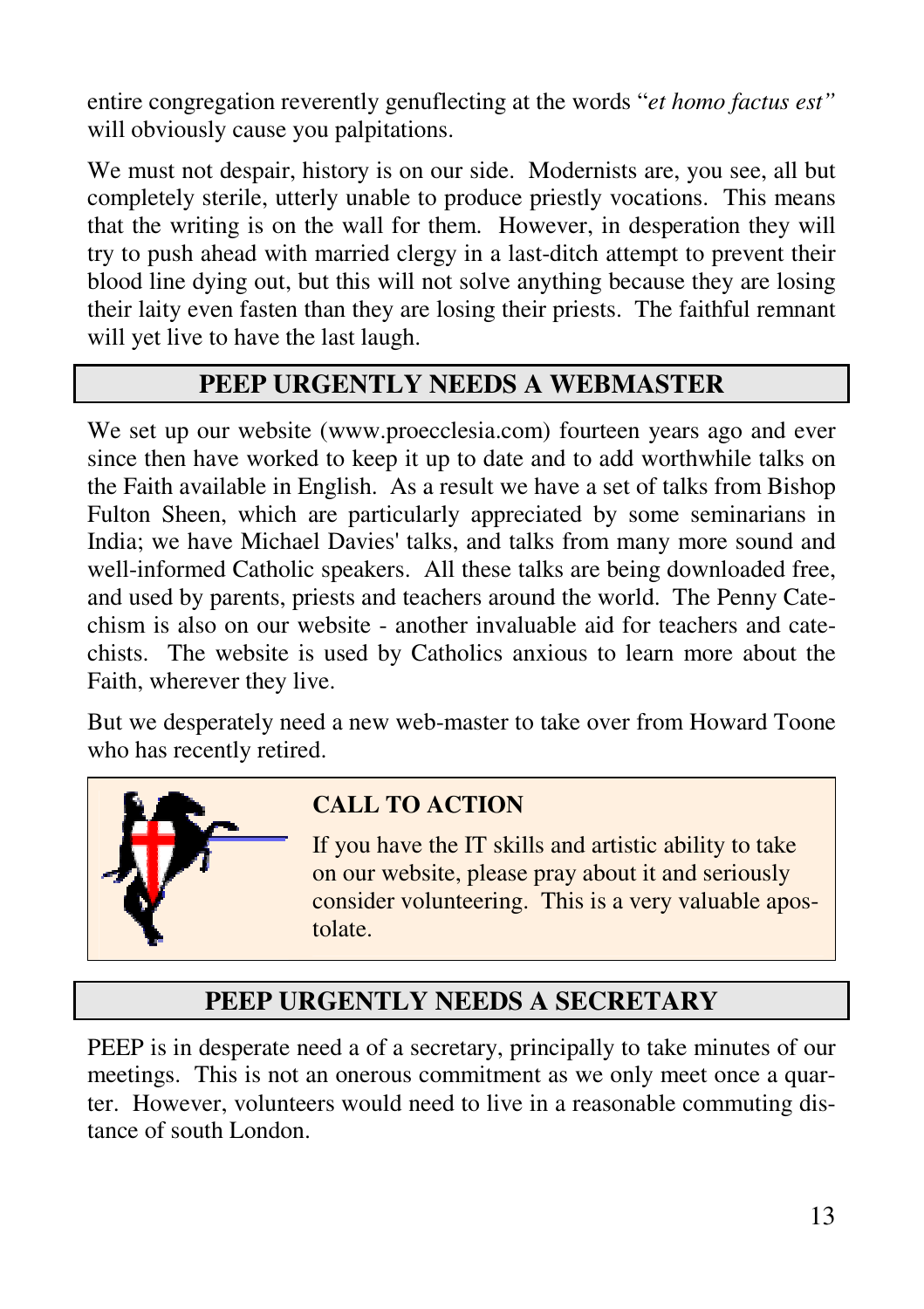entire congregation reverently genuflecting at the words "*et homo factus est"*  will obviously cause you palpitations.

We must not despair, history is on our side. Modernists are, you see, all but completely sterile, utterly unable to produce priestly vocations. This means that the writing is on the wall for them. However, in desperation they will try to push ahead with married clergy in a last-ditch attempt to prevent their blood line dying out, but this will not solve anything because they are losing their laity even fasten than they are losing their priests. The faithful remnant will yet live to have the last laugh.

## **PEEP URGENTLY NEEDS A WEBMASTER**

We set up our website (www.proecclesia.com) fourteen years ago and ever since then have worked to keep it up to date and to add worthwhile talks on the Faith available in English. As a result we have a set of talks from Bishop Fulton Sheen, which are particularly appreciated by some seminarians in India; we have Michael Davies' talks, and talks from many more sound and well-informed Catholic speakers. All these talks are being downloaded free, and used by parents, priests and teachers around the world. The Penny Catechism is also on our website - another invaluable aid for teachers and catechists. The website is used by Catholics anxious to learn more about the Faith, wherever they live.

But we desperately need a new web-master to take over from Howard Toone who has recently retired.



# **CALL TO ACTION**

If you have the IT skills and artistic ability to take on our website, please pray about it and seriously consider volunteering. This is a very valuable apostolate.

# **PEEP URGENTLY NEEDS A SECRETARY**

PEEP is in desperate need a of a secretary, principally to take minutes of our meetings. This is not an onerous commitment as we only meet once a quarter. However, volunteers would need to live in a reasonable commuting distance of south London.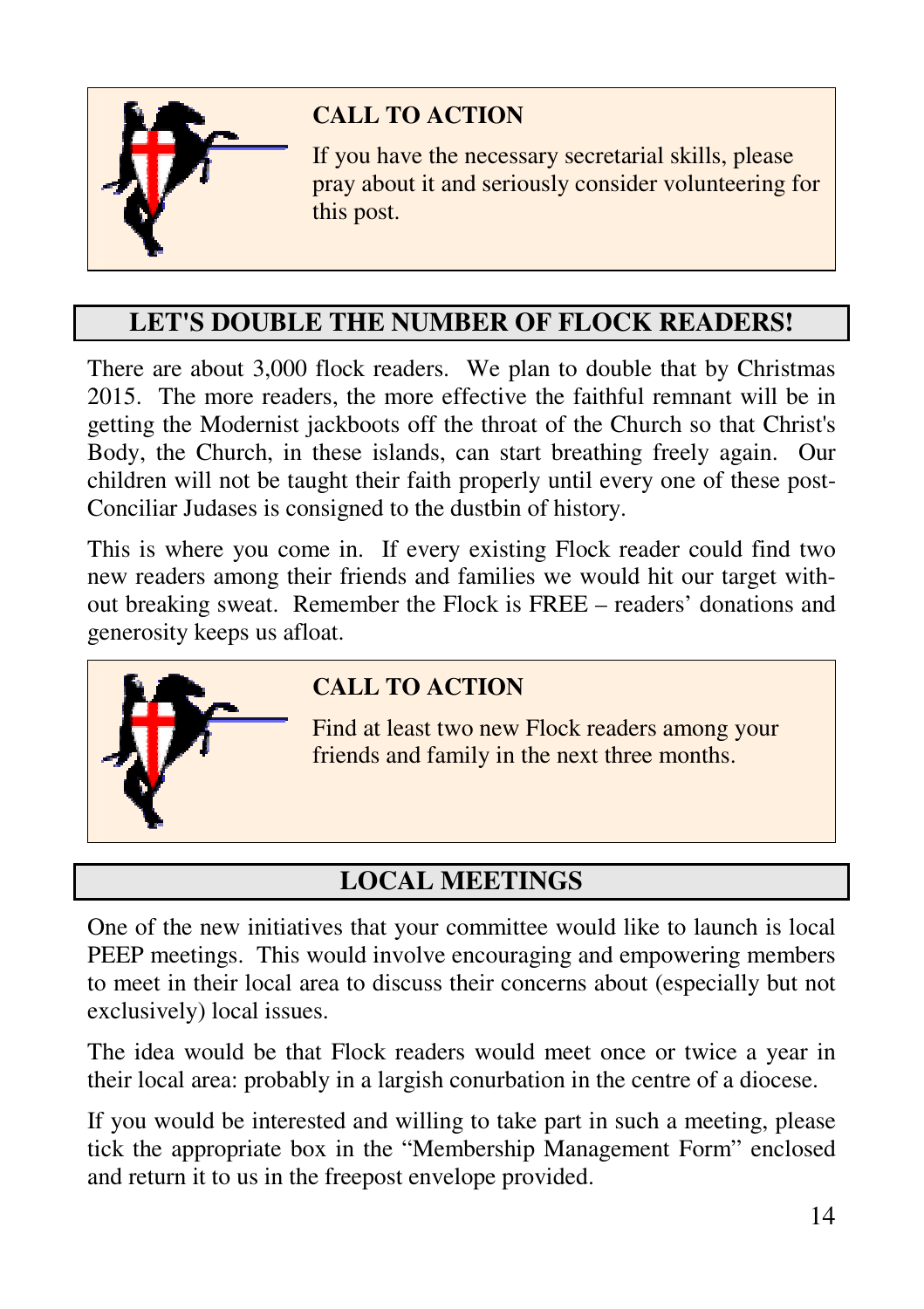

# **CALL TO ACTION**

If you have the necessary secretarial skills, please pray about it and seriously consider volunteering for this post.

# **LET'S DOUBLE THE NUMBER OF FLOCK READERS!**

There are about 3,000 flock readers. We plan to double that by Christmas 2015. The more readers, the more effective the faithful remnant will be in getting the Modernist jackboots off the throat of the Church so that Christ's Body, the Church, in these islands, can start breathing freely again. Our children will not be taught their faith properly until every one of these post-Conciliar Judases is consigned to the dustbin of history.

This is where you come in. If every existing Flock reader could find two new readers among their friends and families we would hit our target without breaking sweat. Remember the Flock is FREE – readers' donations and generosity keeps us afloat.



## **CALL TO ACTION**

Find at least two new Flock readers among your friends and family in the next three months.

# **LOCAL MEETINGS**

One of the new initiatives that your committee would like to launch is local PEEP meetings. This would involve encouraging and empowering members to meet in their local area to discuss their concerns about (especially but not exclusively) local issues.

The idea would be that Flock readers would meet once or twice a year in their local area: probably in a largish conurbation in the centre of a diocese.

If you would be interested and willing to take part in such a meeting, please tick the appropriate box in the "Membership Management Form" enclosed and return it to us in the freepost envelope provided.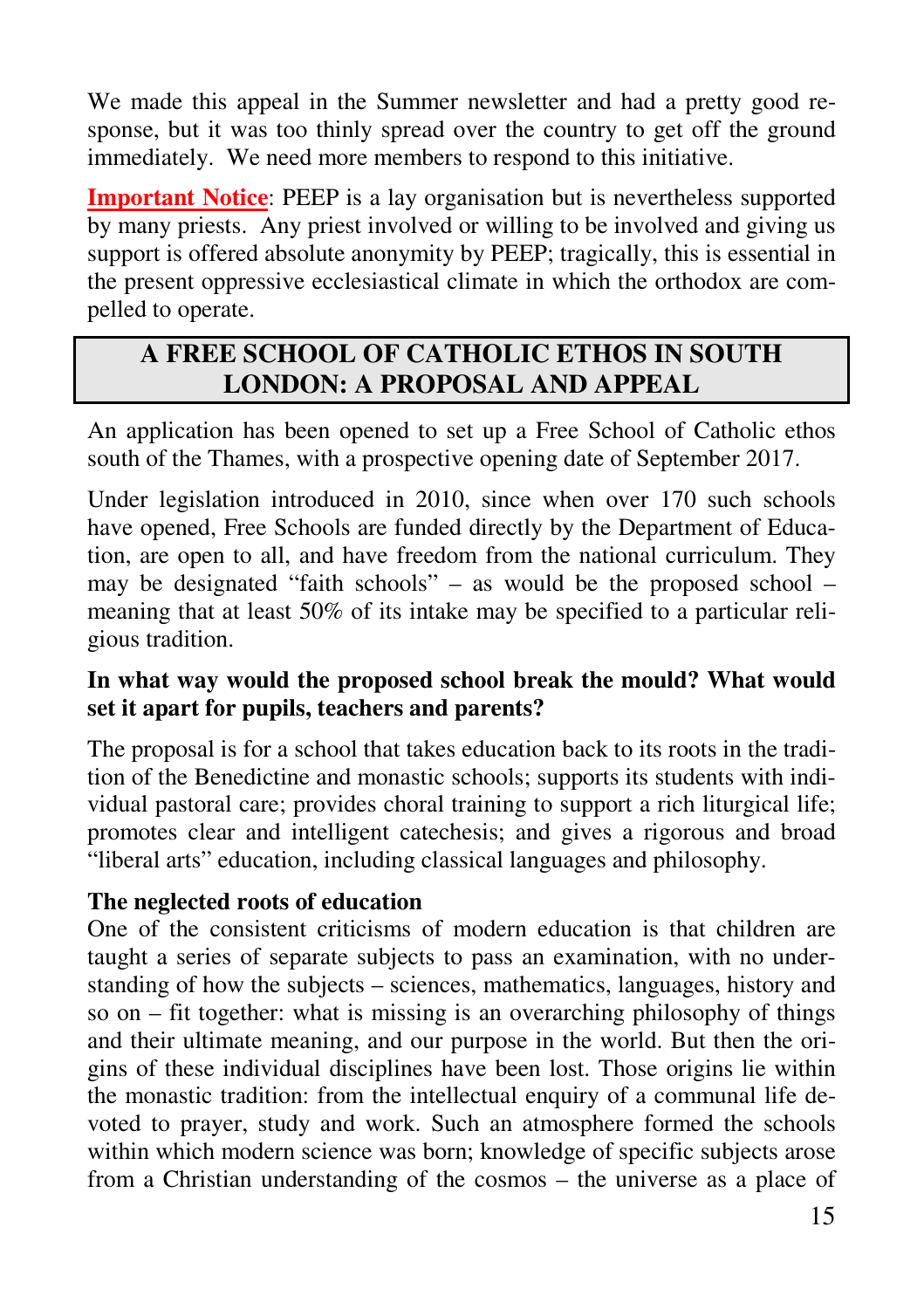We made this appeal in the Summer newsletter and had a pretty good response, but it was too thinly spread over the country to get off the ground immediately. We need more members to respond to this initiative.

**Important Notice**: PEEP is a lay organisation but is nevertheless supported by many priests. Any priest involved or willing to be involved and giving us support is offered absolute anonymity by PEEP; tragically, this is essential in the present oppressive ecclesiastical climate in which the orthodox are compelled to operate.

# **A FREE SCHOOL OF CATHOLIC ETHOS IN SOUTH LONDON: A PROPOSAL AND APPEAL**

An application has been opened to set up a Free School of Catholic ethos south of the Thames, with a prospective opening date of September 2017.

Under legislation introduced in 2010, since when over 170 such schools have opened, Free Schools are funded directly by the Department of Education, are open to all, and have freedom from the national curriculum. They may be designated "faith schools" – as would be the proposed school – meaning that at least 50% of its intake may be specified to a particular religious tradition.

#### **In what way would the proposed school break the mould? What would set it apart for pupils, teachers and parents?**

The proposal is for a school that takes education back to its roots in the tradition of the Benedictine and monastic schools; supports its students with individual pastoral care; provides choral training to support a rich liturgical life; promotes clear and intelligent catechesis; and gives a rigorous and broad "liberal arts" education, including classical languages and philosophy.

#### **The neglected roots of education**

One of the consistent criticisms of modern education is that children are taught a series of separate subjects to pass an examination, with no understanding of how the subjects – sciences, mathematics, languages, history and so on – fit together: what is missing is an overarching philosophy of things and their ultimate meaning, and our purpose in the world. But then the origins of these individual disciplines have been lost. Those origins lie within the monastic tradition: from the intellectual enquiry of a communal life devoted to prayer, study and work. Such an atmosphere formed the schools within which modern science was born; knowledge of specific subjects arose from a Christian understanding of the cosmos – the universe as a place of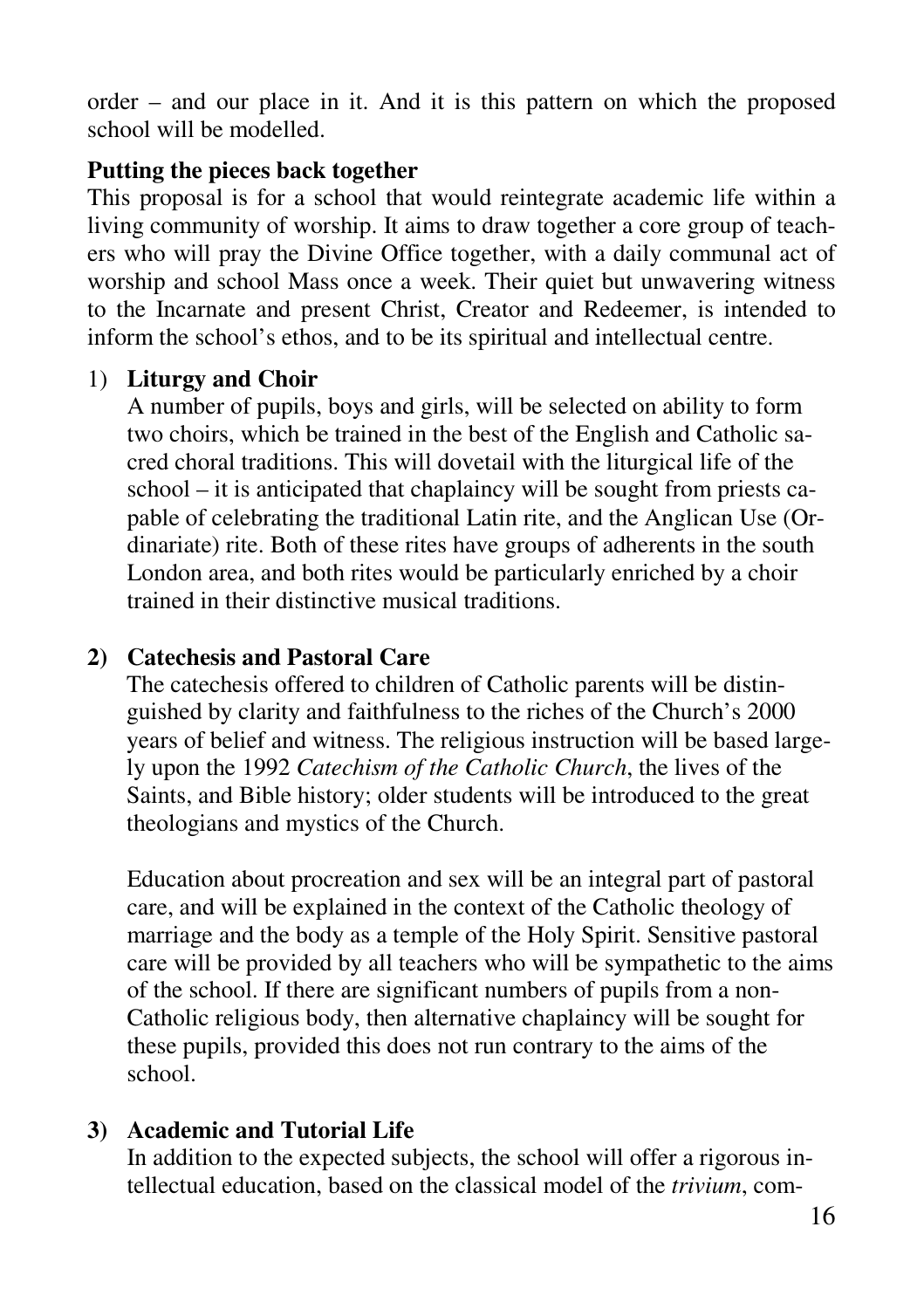order – and our place in it. And it is this pattern on which the proposed school will be modelled.

#### **Putting the pieces back together**

This proposal is for a school that would reintegrate academic life within a living community of worship. It aims to draw together a core group of teachers who will pray the Divine Office together, with a daily communal act of worship and school Mass once a week. Their quiet but unwavering witness to the Incarnate and present Christ, Creator and Redeemer, is intended to inform the school's ethos, and to be its spiritual and intellectual centre.

#### 1) **Liturgy and Choir**

A number of pupils, boys and girls, will be selected on ability to form two choirs, which be trained in the best of the English and Catholic sacred choral traditions. This will dovetail with the liturgical life of the school – it is anticipated that chaplaincy will be sought from priests capable of celebrating the traditional Latin rite, and the Anglican Use (Ordinariate) rite. Both of these rites have groups of adherents in the south London area, and both rites would be particularly enriched by a choir trained in their distinctive musical traditions.

### **2) Catechesis and Pastoral Care**

The catechesis offered to children of Catholic parents will be distinguished by clarity and faithfulness to the riches of the Church's 2000 years of belief and witness. The religious instruction will be based largely upon the 1992 *Catechism of the Catholic Church*, the lives of the Saints, and Bible history; older students will be introduced to the great theologians and mystics of the Church.

Education about procreation and sex will be an integral part of pastoral care, and will be explained in the context of the Catholic theology of marriage and the body as a temple of the Holy Spirit. Sensitive pastoral care will be provided by all teachers who will be sympathetic to the aims of the school. If there are significant numbers of pupils from a non-Catholic religious body, then alternative chaplaincy will be sought for these pupils, provided this does not run contrary to the aims of the school.

### **3) Academic and Tutorial Life**

In addition to the expected subjects, the school will offer a rigorous intellectual education, based on the classical model of the *trivium*, com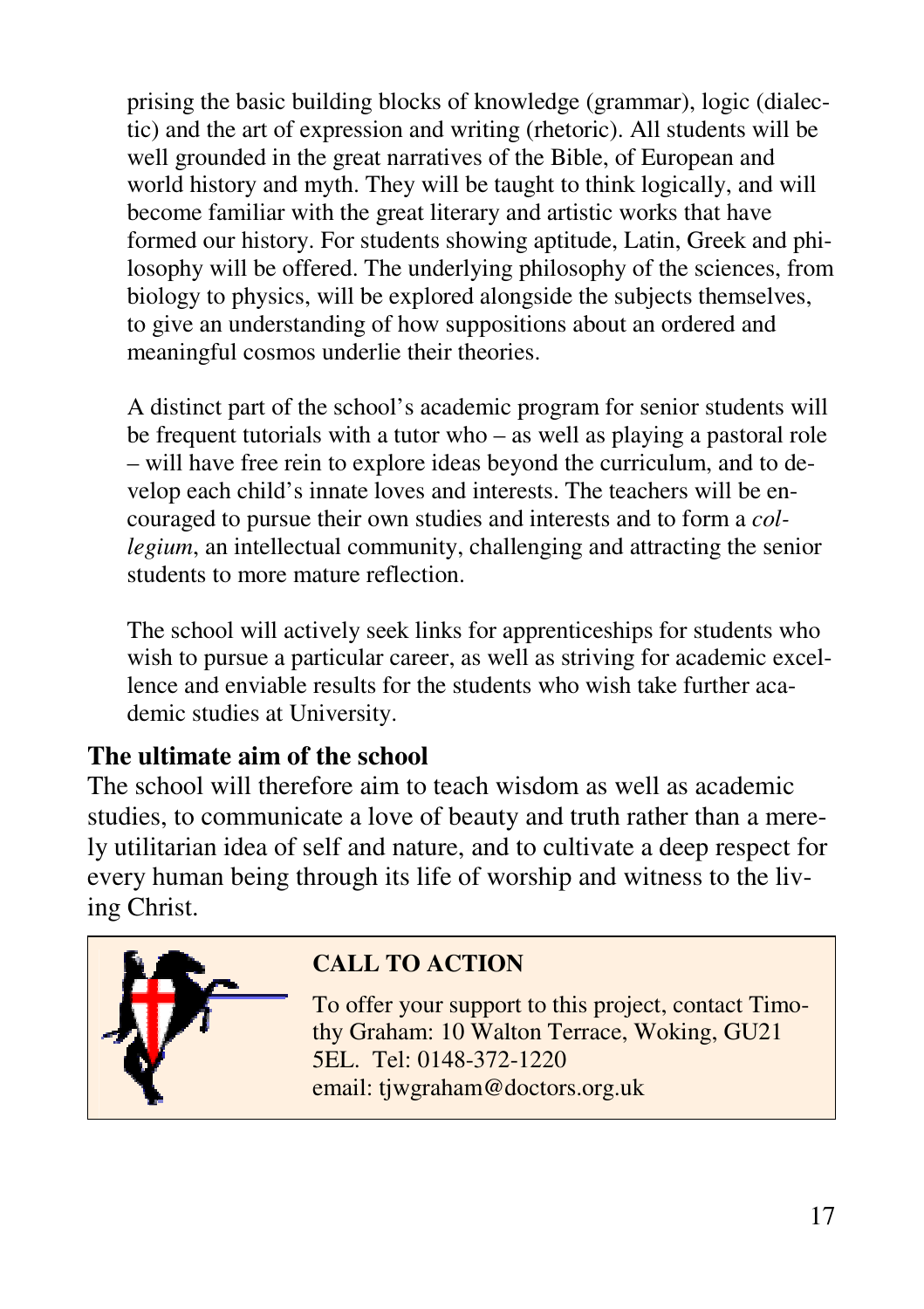prising the basic building blocks of knowledge (grammar), logic (dialectic) and the art of expression and writing (rhetoric). All students will be well grounded in the great narratives of the Bible, of European and world history and myth. They will be taught to think logically, and will become familiar with the great literary and artistic works that have formed our history. For students showing aptitude, Latin, Greek and philosophy will be offered. The underlying philosophy of the sciences, from biology to physics, will be explored alongside the subjects themselves, to give an understanding of how suppositions about an ordered and meaningful cosmos underlie their theories.

A distinct part of the school's academic program for senior students will be frequent tutorials with a tutor who – as well as playing a pastoral role – will have free rein to explore ideas beyond the curriculum, and to develop each child's innate loves and interests. The teachers will be encouraged to pursue their own studies and interests and to form a *collegium*, an intellectual community, challenging and attracting the senior students to more mature reflection.

The school will actively seek links for apprenticeships for students who wish to pursue a particular career, as well as striving for academic excellence and enviable results for the students who wish take further academic studies at University.

# **The ultimate aim of the school**

The school will therefore aim to teach wisdom as well as academic studies, to communicate a love of beauty and truth rather than a merely utilitarian idea of self and nature, and to cultivate a deep respect for every human being through its life of worship and witness to the living Christ.



# **CALL TO ACTION**

To offer your support to this project, contact Timothy Graham: 10 Walton Terrace, Woking, GU21 5EL. Tel: 0148-372-1220 email: tjwgraham@doctors.org.uk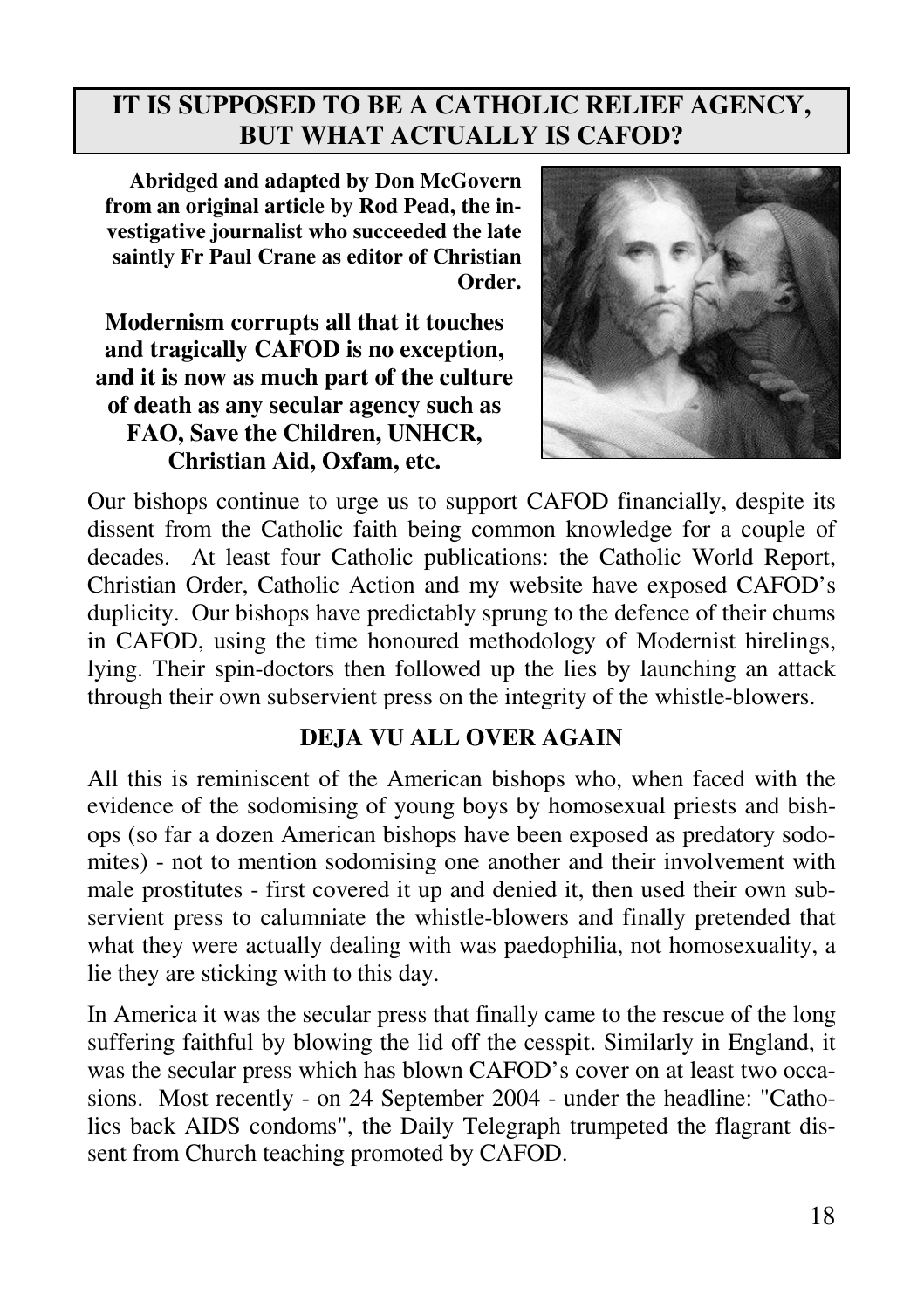## **IT IS SUPPOSED TO BE A CATHOLIC RELIEF AGENCY, BUT WHAT ACTUALLY IS CAFOD?**

**Abridged and adapted by Don McGovern from an original article by Rod Pead, the investigative journalist who succeeded the late saintly Fr Paul Crane as editor of Christian Order.**

**Modernism corrupts all that it touches and tragically CAFOD is no exception, and it is now as much part of the culture of death as any secular agency such as FAO, Save the Children, UNHCR, Christian Aid, Oxfam, etc.** 



Our bishops continue to urge us to support CAFOD financially, despite its dissent from the Catholic faith being common knowledge for a couple of decades. At least four Catholic publications: the Catholic World Report, Christian Order, Catholic Action and my website have exposed CAFOD's duplicity. Our bishops have predictably sprung to the defence of their chums in CAFOD, using the time honoured methodology of Modernist hirelings, lying. Their spin-doctors then followed up the lies by launching an attack through their own subservient press on the integrity of the whistle-blowers.

#### **DEJA VU ALL OVER AGAIN**

All this is reminiscent of the American bishops who, when faced with the evidence of the sodomising of young boys by homosexual priests and bishops (so far a dozen American bishops have been exposed as predatory sodomites) - not to mention sodomising one another and their involvement with male prostitutes - first covered it up and denied it, then used their own subservient press to calumniate the whistle-blowers and finally pretended that what they were actually dealing with was paedophilia, not homosexuality, a lie they are sticking with to this day.

In America it was the secular press that finally came to the rescue of the long suffering faithful by blowing the lid off the cesspit. Similarly in England, it was the secular press which has blown CAFOD's cover on at least two occasions. Most recently - on 24 September 2004 - under the headline: "Catholics back AIDS condoms", the Daily Telegraph trumpeted the flagrant dissent from Church teaching promoted by CAFOD.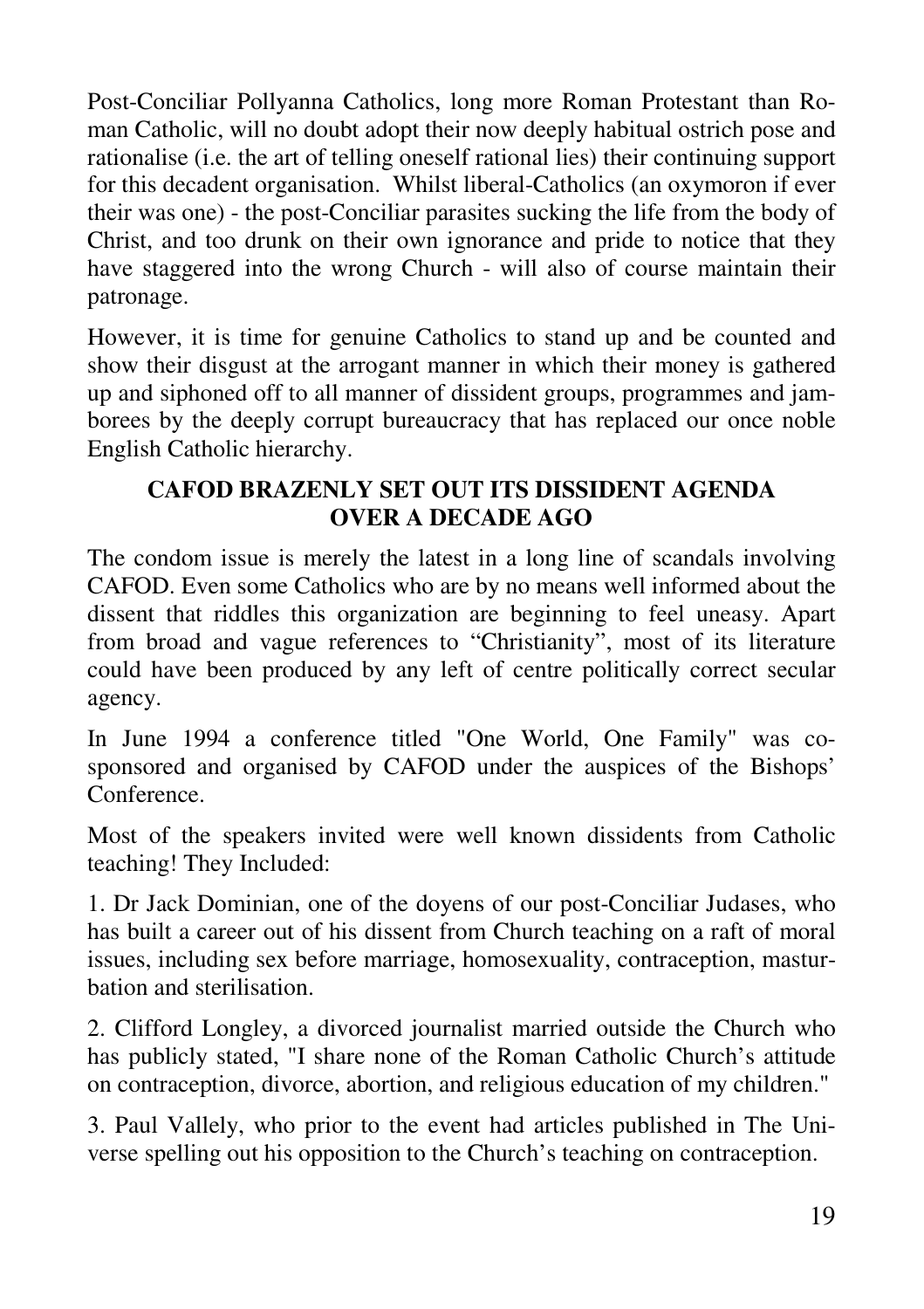Post-Conciliar Pollyanna Catholics, long more Roman Protestant than Roman Catholic, will no doubt adopt their now deeply habitual ostrich pose and rationalise (i.e. the art of telling oneself rational lies) their continuing support for this decadent organisation. Whilst liberal-Catholics (an oxymoron if ever their was one) - the post-Conciliar parasites sucking the life from the body of Christ, and too drunk on their own ignorance and pride to notice that they have staggered into the wrong Church - will also of course maintain their patronage.

However, it is time for genuine Catholics to stand up and be counted and show their disgust at the arrogant manner in which their money is gathered up and siphoned off to all manner of dissident groups, programmes and jamborees by the deeply corrupt bureaucracy that has replaced our once noble English Catholic hierarchy.

#### **CAFOD BRAZENLY SET OUT ITS DISSIDENT AGENDA OVER A DECADE AGO**

The condom issue is merely the latest in a long line of scandals involving CAFOD. Even some Catholics who are by no means well informed about the dissent that riddles this organization are beginning to feel uneasy. Apart from broad and vague references to "Christianity", most of its literature could have been produced by any left of centre politically correct secular agency.

In June 1994 a conference titled "One World, One Family" was cosponsored and organised by CAFOD under the auspices of the Bishops' Conference.

Most of the speakers invited were well known dissidents from Catholic teaching! They Included:

1. Dr Jack Dominian, one of the doyens of our post-Conciliar Judases, who has built a career out of his dissent from Church teaching on a raft of moral issues, including sex before marriage, homosexuality, contraception, masturbation and sterilisation.

2. Clifford Longley, a divorced journalist married outside the Church who has publicly stated, "I share none of the Roman Catholic Church's attitude on contraception, divorce, abortion, and religious education of my children."

3. Paul Vallely, who prior to the event had articles published in The Universe spelling out his opposition to the Church's teaching on contraception.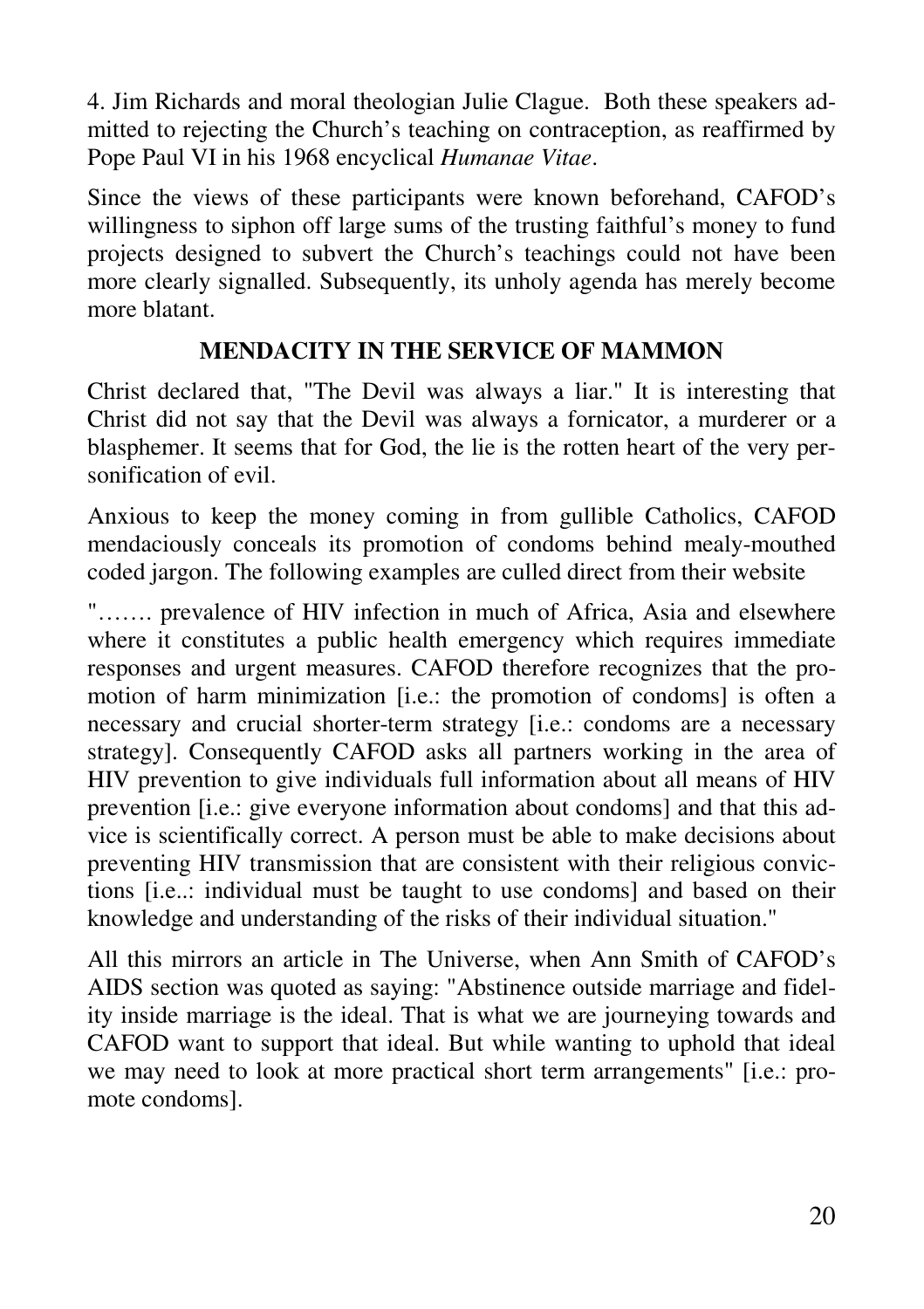4. Jim Richards and moral theologian Julie Clague. Both these speakers admitted to rejecting the Church's teaching on contraception, as reaffirmed by Pope Paul VI in his 1968 encyclical *Humanae Vitae*.

Since the views of these participants were known beforehand, CAFOD's willingness to siphon off large sums of the trusting faithful's money to fund projects designed to subvert the Church's teachings could not have been more clearly signalled. Subsequently, its unholy agenda has merely become more blatant.

### **MENDACITY IN THE SERVICE OF MAMMON**

Christ declared that, "The Devil was always a liar." It is interesting that Christ did not say that the Devil was always a fornicator, a murderer or a blasphemer. It seems that for God, the lie is the rotten heart of the very personification of evil.

Anxious to keep the money coming in from gullible Catholics, CAFOD mendaciously conceals its promotion of condoms behind mealy-mouthed coded jargon. The following examples are culled direct from their website

"……. prevalence of HIV infection in much of Africa, Asia and elsewhere where it constitutes a public health emergency which requires immediate responses and urgent measures. CAFOD therefore recognizes that the promotion of harm minimization [i.e.: the promotion of condoms] is often a necessary and crucial shorter-term strategy [i.e.: condoms are a necessary strategy]. Consequently CAFOD asks all partners working in the area of HIV prevention to give individuals full information about all means of HIV prevention [i.e.: give everyone information about condoms] and that this advice is scientifically correct. A person must be able to make decisions about preventing HIV transmission that are consistent with their religious convictions [i.e..: individual must be taught to use condoms] and based on their knowledge and understanding of the risks of their individual situation."

All this mirrors an article in The Universe, when Ann Smith of CAFOD's AIDS section was quoted as saying: "Abstinence outside marriage and fidelity inside marriage is the ideal. That is what we are journeying towards and CAFOD want to support that ideal. But while wanting to uphold that ideal we may need to look at more practical short term arrangements" [i.e.: promote condoms].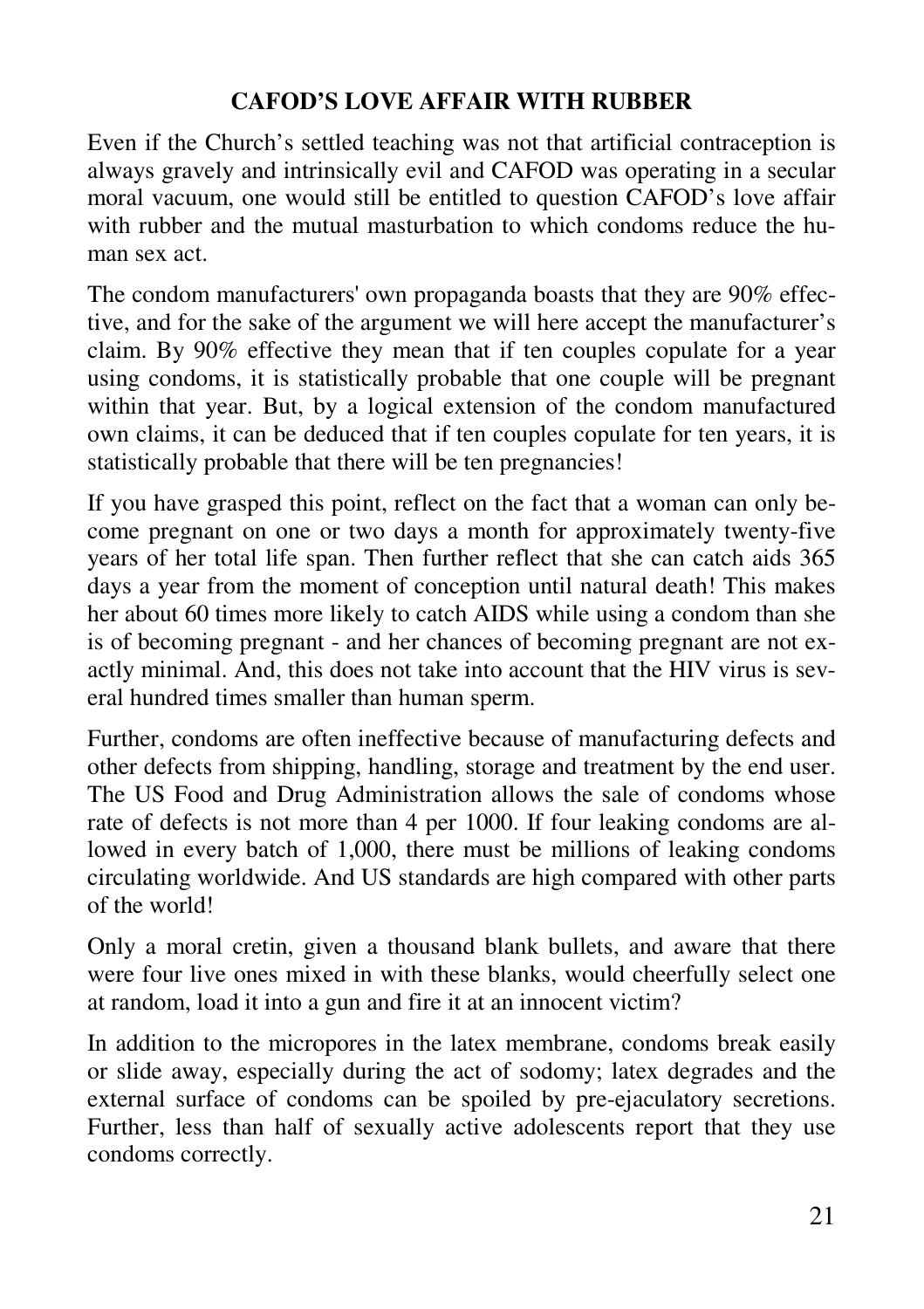### **CAFOD'S LOVE AFFAIR WITH RUBBER**

Even if the Church's settled teaching was not that artificial contraception is always gravely and intrinsically evil and CAFOD was operating in a secular moral vacuum, one would still be entitled to question CAFOD's love affair with rubber and the mutual masturbation to which condoms reduce the human sex act.

The condom manufacturers' own propaganda boasts that they are 90% effective, and for the sake of the argument we will here accept the manufacturer's claim. By 90% effective they mean that if ten couples copulate for a year using condoms, it is statistically probable that one couple will be pregnant within that year. But, by a logical extension of the condom manufactured own claims, it can be deduced that if ten couples copulate for ten years, it is statistically probable that there will be ten pregnancies!

If you have grasped this point, reflect on the fact that a woman can only become pregnant on one or two days a month for approximately twenty-five years of her total life span. Then further reflect that she can catch aids 365 days a year from the moment of conception until natural death! This makes her about 60 times more likely to catch AIDS while using a condom than she is of becoming pregnant - and her chances of becoming pregnant are not exactly minimal. And, this does not take into account that the HIV virus is several hundred times smaller than human sperm.

Further, condoms are often ineffective because of manufacturing defects and other defects from shipping, handling, storage and treatment by the end user. The US Food and Drug Administration allows the sale of condoms whose rate of defects is not more than 4 per 1000. If four leaking condoms are allowed in every batch of 1,000, there must be millions of leaking condoms circulating worldwide. And US standards are high compared with other parts of the world!

Only a moral cretin, given a thousand blank bullets, and aware that there were four live ones mixed in with these blanks, would cheerfully select one at random, load it into a gun and fire it at an innocent victim?

In addition to the micropores in the latex membrane, condoms break easily or slide away, especially during the act of sodomy; latex degrades and the external surface of condoms can be spoiled by pre-ejaculatory secretions. Further, less than half of sexually active adolescents report that they use condoms correctly.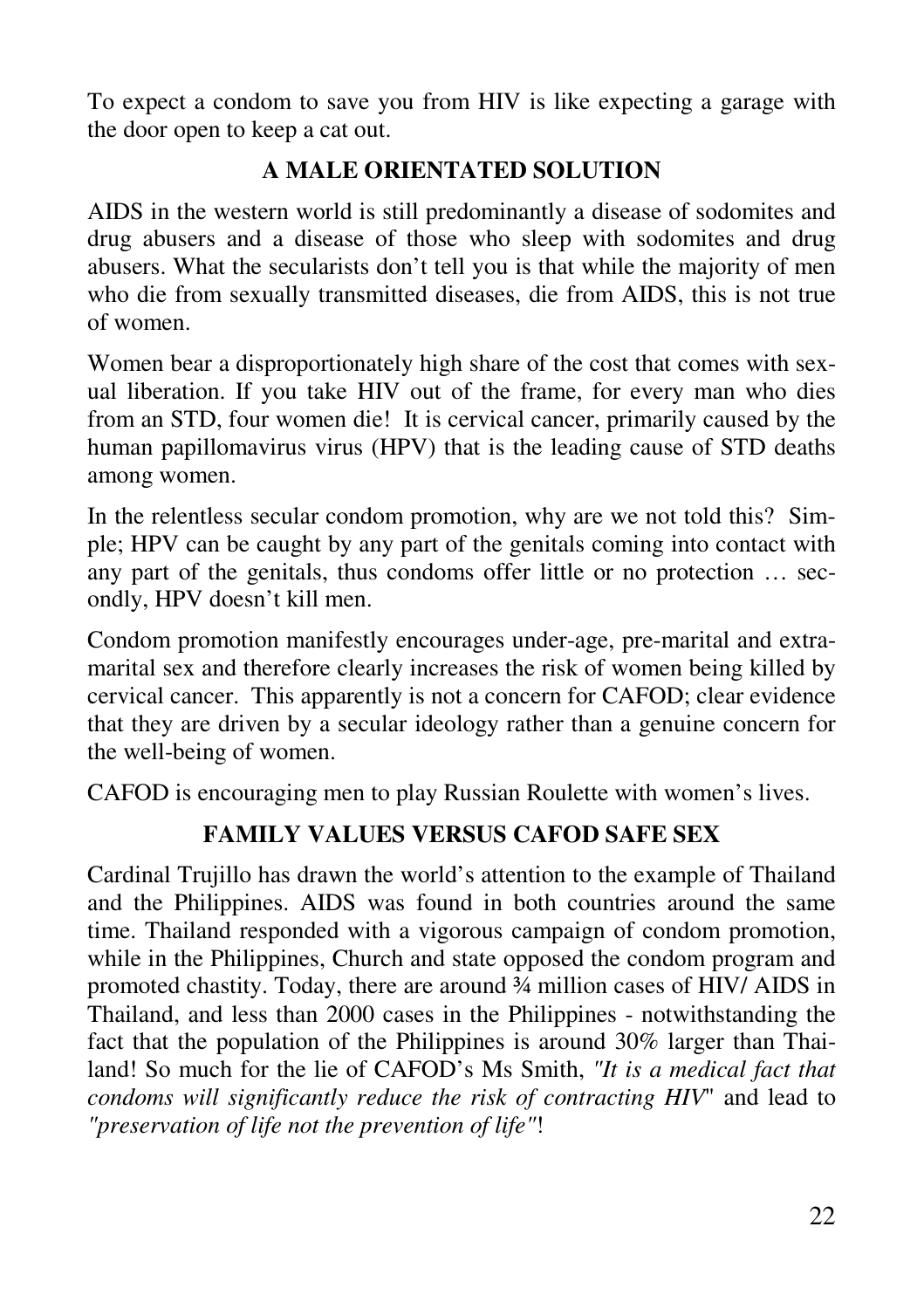To expect a condom to save you from HIV is like expecting a garage with the door open to keep a cat out.

### **A MALE ORIENTATED SOLUTION**

AIDS in the western world is still predominantly a disease of sodomites and drug abusers and a disease of those who sleep with sodomites and drug abusers. What the secularists don't tell you is that while the majority of men who die from sexually transmitted diseases, die from AIDS, this is not true of women.

Women bear a disproportionately high share of the cost that comes with sexual liberation. If you take HIV out of the frame, for every man who dies from an STD, four women die! It is cervical cancer, primarily caused by the human papillomavirus virus (HPV) that is the leading cause of STD deaths among women.

In the relentless secular condom promotion, why are we not told this? Simple; HPV can be caught by any part of the genitals coming into contact with any part of the genitals, thus condoms offer little or no protection … secondly, HPV doesn't kill men.

Condom promotion manifestly encourages under-age, pre-marital and extramarital sex and therefore clearly increases the risk of women being killed by cervical cancer. This apparently is not a concern for CAFOD; clear evidence that they are driven by a secular ideology rather than a genuine concern for the well-being of women.

CAFOD is encouraging men to play Russian Roulette with women's lives.

# **FAMILY VALUES VERSUS CAFOD SAFE SEX**

Cardinal Trujillo has drawn the world's attention to the example of Thailand and the Philippines. AIDS was found in both countries around the same time. Thailand responded with a vigorous campaign of condom promotion, while in the Philippines, Church and state opposed the condom program and promoted chastity. Today, there are around ¾ million cases of HIV/ AIDS in Thailand, and less than 2000 cases in the Philippines - notwithstanding the fact that the population of the Philippines is around 30% larger than Thailand! So much for the lie of CAFOD's Ms Smith, *"It is a medical fact that condoms will significantly reduce the risk of contracting HIV*" and lead to *"preservation of life not the prevention of life"*!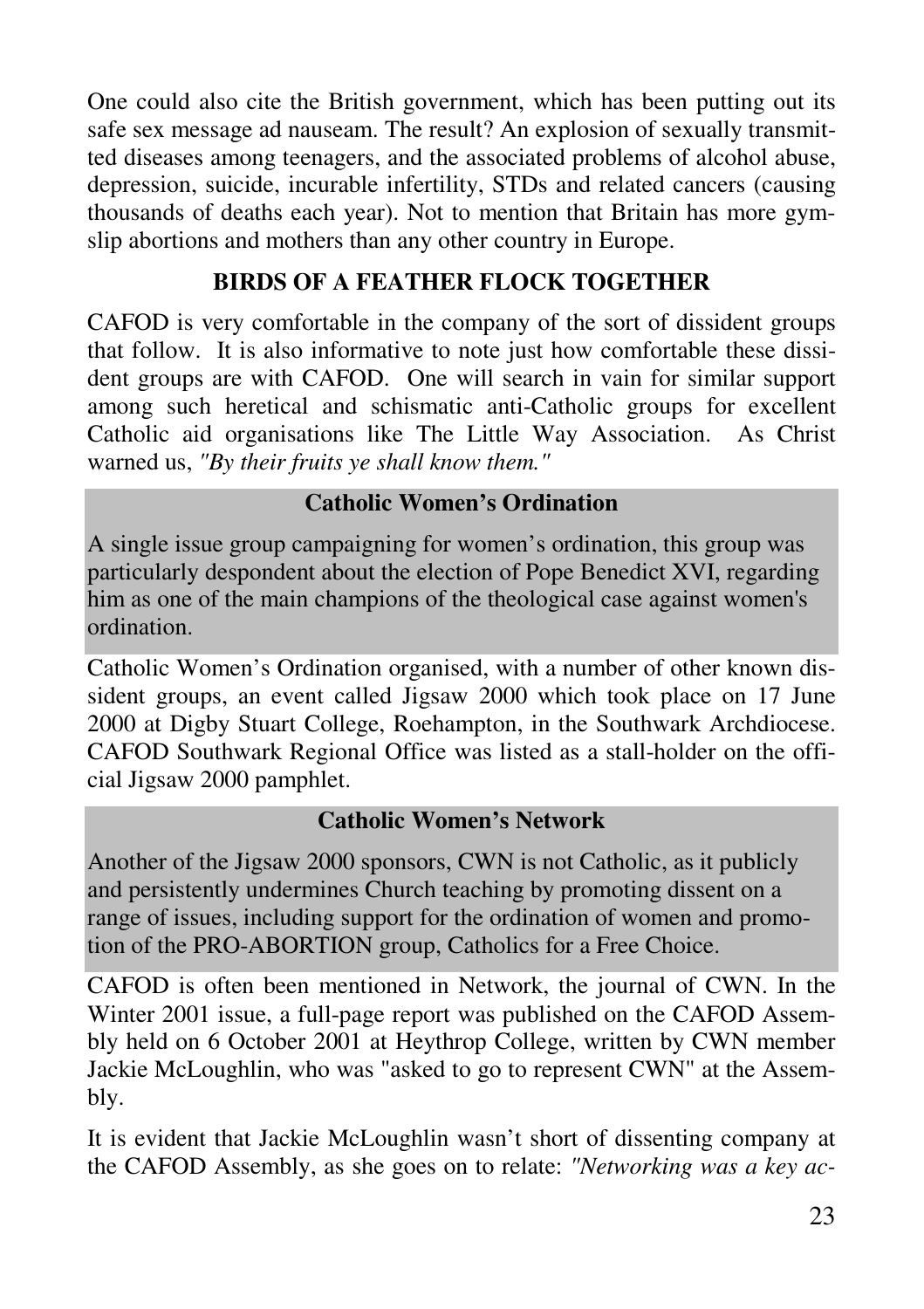One could also cite the British government, which has been putting out its safe sex message ad nauseam. The result? An explosion of sexually transmitted diseases among teenagers, and the associated problems of alcohol abuse, depression, suicide, incurable infertility, STDs and related cancers (causing thousands of deaths each year). Not to mention that Britain has more gymslip abortions and mothers than any other country in Europe.

### **BIRDS OF A FEATHER FLOCK TOGETHER**

CAFOD is very comfortable in the company of the sort of dissident groups that follow. It is also informative to note just how comfortable these dissident groups are with CAFOD. One will search in vain for similar support among such heretical and schismatic anti-Catholic groups for excellent Catholic aid organisations like The Little Way Association. As Christ warned us, *"By their fruits ye shall know them."*

#### **Catholic Women's Ordination**

A single issue group campaigning for women's ordination, this group was particularly despondent about the election of Pope Benedict XVI, regarding him as one of the main champions of the theological case against women's ordination.

Catholic Women's Ordination organised, with a number of other known dissident groups, an event called Jigsaw 2000 which took place on 17 June 2000 at Digby Stuart College, Roehampton, in the Southwark Archdiocese. CAFOD Southwark Regional Office was listed as a stall-holder on the official Jigsaw 2000 pamphlet.

#### **Catholic Women's Network**

Another of the Jigsaw 2000 sponsors, CWN is not Catholic, as it publicly and persistently undermines Church teaching by promoting dissent on a range of issues, including support for the ordination of women and promotion of the PRO-ABORTION group, Catholics for a Free Choice.

CAFOD is often been mentioned in Network, the journal of CWN. In the Winter 2001 issue, a full-page report was published on the CAFOD Assembly held on 6 October 2001 at Heythrop College, written by CWN member Jackie McLoughlin, who was "asked to go to represent CWN" at the Assembly.

It is evident that Jackie McLoughlin wasn't short of dissenting company at the CAFOD Assembly, as she goes on to relate: *"Networking was a key ac-*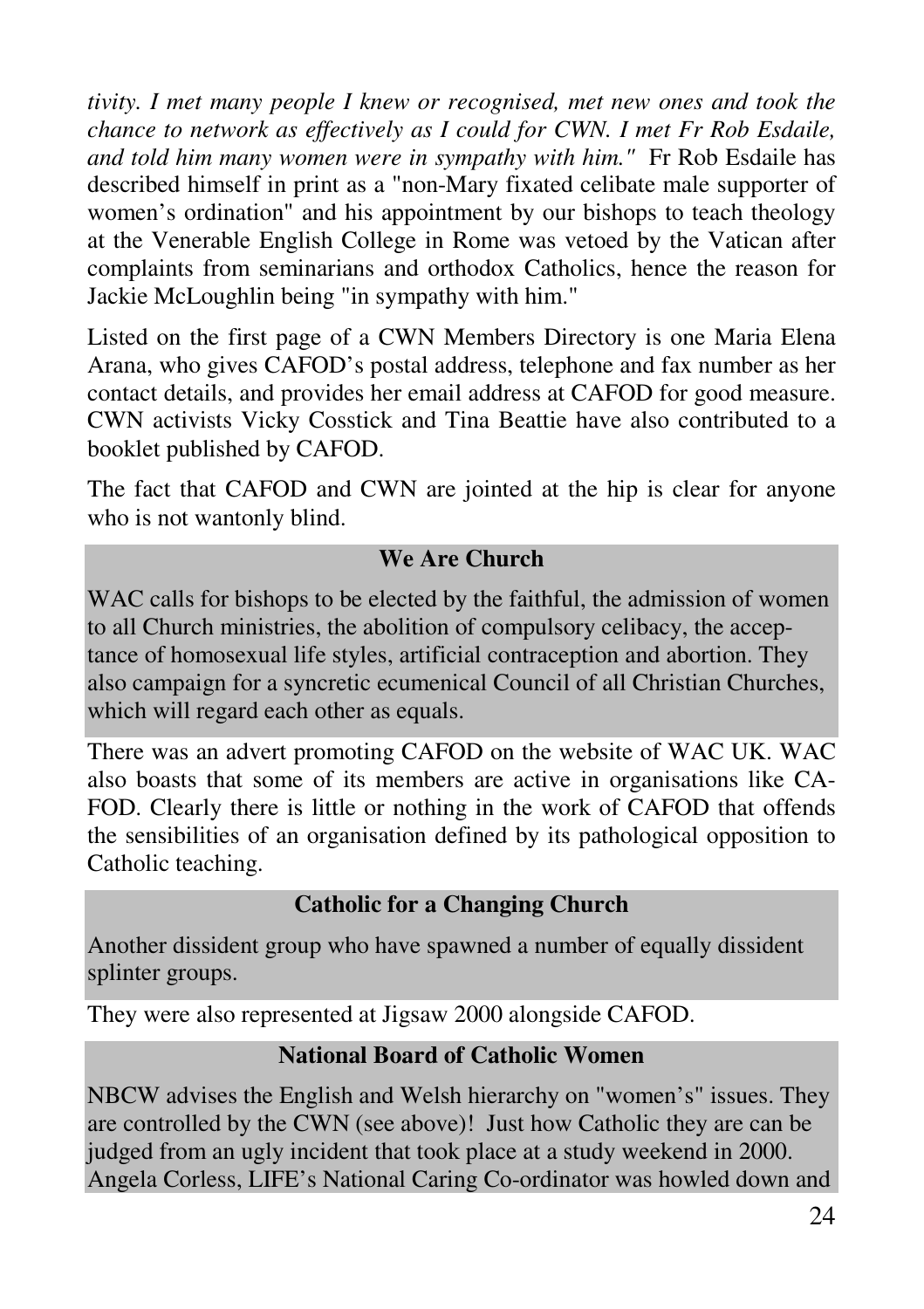*tivity. I met many people I knew or recognised, met new ones and took the chance to network as effectively as I could for CWN. I met Fr Rob Esdaile, and told him many women were in sympathy with him."* Fr Rob Esdaile has described himself in print as a "non-Mary fixated celibate male supporter of women's ordination" and his appointment by our bishops to teach theology at the Venerable English College in Rome was vetoed by the Vatican after complaints from seminarians and orthodox Catholics, hence the reason for Jackie McLoughlin being "in sympathy with him."

Listed on the first page of a CWN Members Directory is one Maria Elena Arana, who gives CAFOD's postal address, telephone and fax number as her contact details, and provides her email address at CAFOD for good measure. CWN activists Vicky Cosstick and Tina Beattie have also contributed to a booklet published by CAFOD.

The fact that CAFOD and CWN are jointed at the hip is clear for anyone who is not wantonly blind.

### **We Are Church**

WAC calls for bishops to be elected by the faithful, the admission of women to all Church ministries, the abolition of compulsory celibacy, the acceptance of homosexual life styles, artificial contraception and abortion. They also campaign for a syncretic ecumenical Council of all Christian Churches, which will regard each other as equals.

There was an advert promoting CAFOD on the website of WAC UK. WAC also boasts that some of its members are active in organisations like CA-FOD. Clearly there is little or nothing in the work of CAFOD that offends the sensibilities of an organisation defined by its pathological opposition to Catholic teaching.

#### **Catholic for a Changing Church**

Another dissident group who have spawned a number of equally dissident splinter groups.

They were also represented at Jigsaw 2000 alongside CAFOD.

#### **National Board of Catholic Women**

NBCW advises the English and Welsh hierarchy on "women's" issues. They are controlled by the CWN (see above)! Just how Catholic they are can be judged from an ugly incident that took place at a study weekend in 2000. Angela Corless, LIFE's National Caring Co-ordinator was howled down and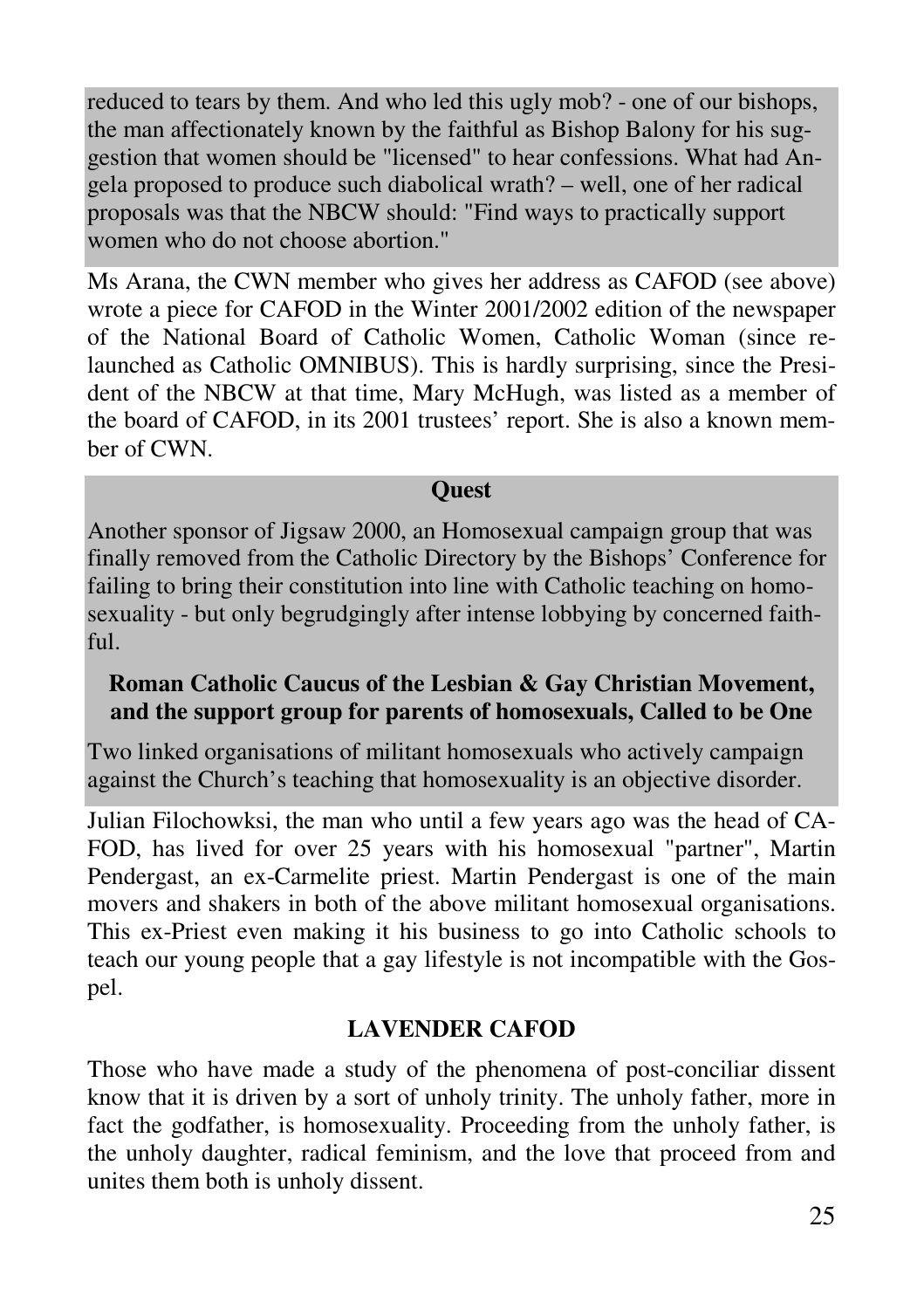reduced to tears by them. And who led this ugly mob? - one of our bishops, the man affectionately known by the faithful as Bishop Balony for his suggestion that women should be "licensed" to hear confessions. What had Angela proposed to produce such diabolical wrath? – well, one of her radical proposals was that the NBCW should: "Find ways to practically support women who do not choose abortion."

Ms Arana, the CWN member who gives her address as CAFOD (see above) wrote a piece for CAFOD in the Winter 2001/2002 edition of the newspaper of the National Board of Catholic Women, Catholic Woman (since relaunched as Catholic OMNIBUS). This is hardly surprising, since the President of the NBCW at that time, Mary McHugh, was listed as a member of the board of CAFOD, in its 2001 trustees' report. She is also a known member of CWN.

#### **Quest**

Another sponsor of Jigsaw 2000, an Homosexual campaign group that was finally removed from the Catholic Directory by the Bishops' Conference for failing to bring their constitution into line with Catholic teaching on homosexuality - but only begrudgingly after intense lobbying by concerned faithful.

#### **Roman Catholic Caucus of the Lesbian & Gay Christian Movement, and the support group for parents of homosexuals, Called to be One**

Two linked organisations of militant homosexuals who actively campaign against the Church's teaching that homosexuality is an objective disorder.

Julian Filochowksi, the man who until a few years ago was the head of CA-FOD, has lived for over 25 years with his homosexual "partner", Martin Pendergast, an ex-Carmelite priest. Martin Pendergast is one of the main movers and shakers in both of the above militant homosexual organisations. This ex-Priest even making it his business to go into Catholic schools to teach our young people that a gay lifestyle is not incompatible with the Gospel.

#### **LAVENDER CAFOD**

Those who have made a study of the phenomena of post-conciliar dissent know that it is driven by a sort of unholy trinity. The unholy father, more in fact the godfather, is homosexuality. Proceeding from the unholy father, is the unholy daughter, radical feminism, and the love that proceed from and unites them both is unholy dissent.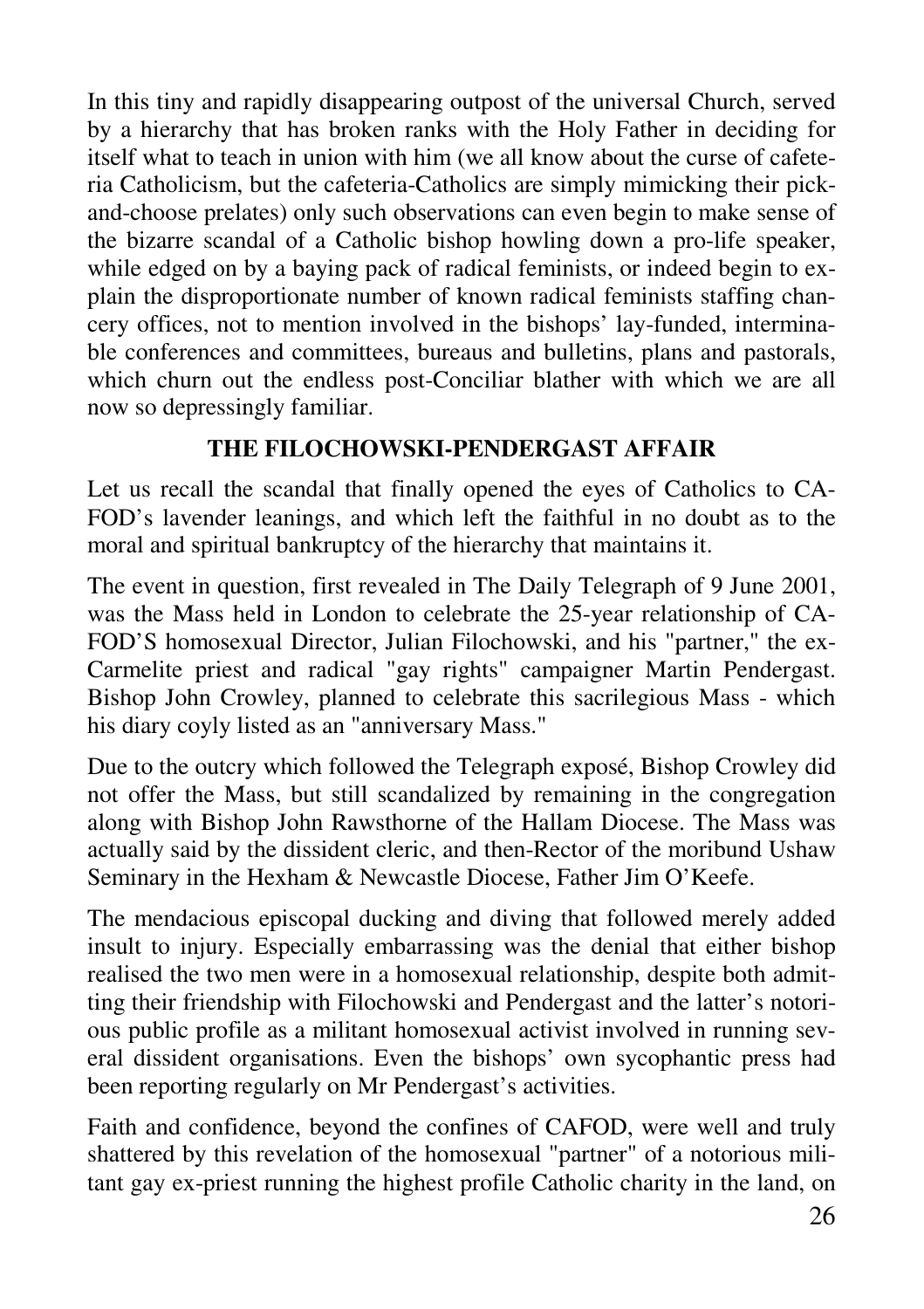In this tiny and rapidly disappearing outpost of the universal Church, served by a hierarchy that has broken ranks with the Holy Father in deciding for itself what to teach in union with him (we all know about the curse of cafeteria Catholicism, but the cafeteria-Catholics are simply mimicking their pickand-choose prelates) only such observations can even begin to make sense of the bizarre scandal of a Catholic bishop howling down a pro-life speaker, while edged on by a baying pack of radical feminists, or indeed begin to explain the disproportionate number of known radical feminists staffing chancery offices, not to mention involved in the bishops' lay-funded, interminable conferences and committees, bureaus and bulletins, plans and pastorals, which churn out the endless post-Conciliar blather with which we are all now so depressingly familiar.

#### **THE FILOCHOWSKI-PENDERGAST AFFAIR**

Let us recall the scandal that finally opened the eyes of Catholics to CA-FOD's lavender leanings, and which left the faithful in no doubt as to the moral and spiritual bankruptcy of the hierarchy that maintains it.

The event in question, first revealed in The Daily Telegraph of 9 June 2001, was the Mass held in London to celebrate the 25-year relationship of CA-FOD'S homosexual Director, Julian Filochowski, and his "partner," the ex-Carmelite priest and radical "gay rights" campaigner Martin Pendergast. Bishop John Crowley, planned to celebrate this sacrilegious Mass - which his diary coyly listed as an "anniversary Mass."

Due to the outcry which followed the Telegraph exposé, Bishop Crowley did not offer the Mass, but still scandalized by remaining in the congregation along with Bishop John Rawsthorne of the Hallam Diocese. The Mass was actually said by the dissident cleric, and then-Rector of the moribund Ushaw Seminary in the Hexham & Newcastle Diocese, Father Jim O'Keefe.

The mendacious episcopal ducking and diving that followed merely added insult to injury. Especially embarrassing was the denial that either bishop realised the two men were in a homosexual relationship, despite both admitting their friendship with Filochowski and Pendergast and the latter's notorious public profile as a militant homosexual activist involved in running several dissident organisations. Even the bishops' own sycophantic press had been reporting regularly on Mr Pendergast's activities.

Faith and confidence, beyond the confines of CAFOD, were well and truly shattered by this revelation of the homosexual "partner" of a notorious militant gay ex-priest running the highest profile Catholic charity in the land, on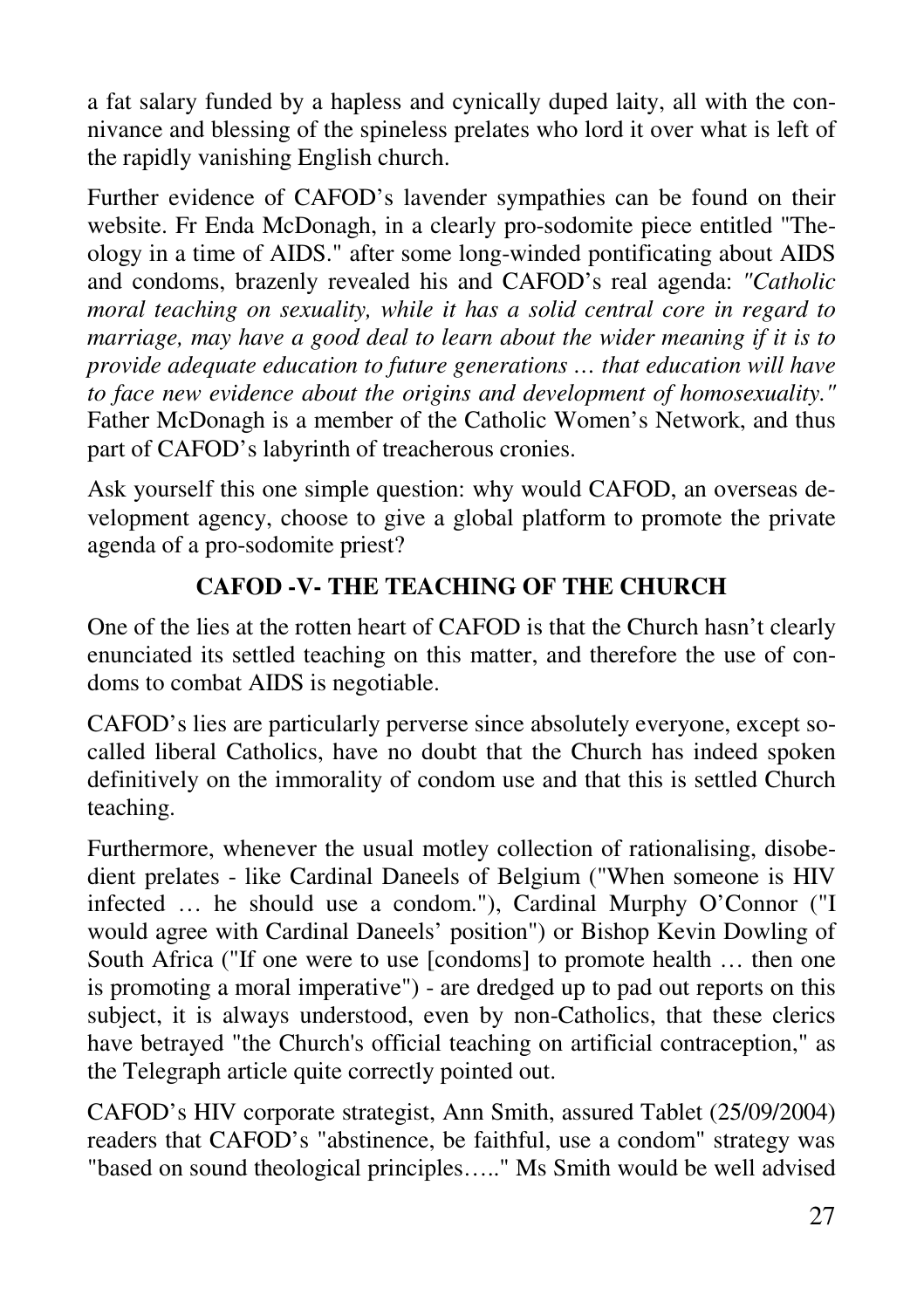a fat salary funded by a hapless and cynically duped laity, all with the connivance and blessing of the spineless prelates who lord it over what is left of the rapidly vanishing English church.

Further evidence of CAFOD's lavender sympathies can be found on their website. Fr Enda McDonagh, in a clearly pro-sodomite piece entitled "Theology in a time of AIDS." after some long-winded pontificating about AIDS and condoms, brazenly revealed his and CAFOD's real agenda: *"Catholic moral teaching on sexuality, while it has a solid central core in regard to marriage, may have a good deal to learn about the wider meaning if it is to provide adequate education to future generations … that education will have to face new evidence about the origins and development of homosexuality."* Father McDonagh is a member of the Catholic Women's Network, and thus part of CAFOD's labyrinth of treacherous cronies.

Ask yourself this one simple question: why would CAFOD, an overseas development agency, choose to give a global platform to promote the private agenda of a pro-sodomite priest?

## **CAFOD -V- THE TEACHING OF THE CHURCH**

One of the lies at the rotten heart of CAFOD is that the Church hasn't clearly enunciated its settled teaching on this matter, and therefore the use of condoms to combat AIDS is negotiable.

CAFOD's lies are particularly perverse since absolutely everyone, except socalled liberal Catholics, have no doubt that the Church has indeed spoken definitively on the immorality of condom use and that this is settled Church teaching.

Furthermore, whenever the usual motley collection of rationalising, disobedient prelates - like Cardinal Daneels of Belgium ("When someone is HIV infected … he should use a condom."), Cardinal Murphy O'Connor ("I would agree with Cardinal Daneels' position") or Bishop Kevin Dowling of South Africa ("If one were to use [condoms] to promote health … then one is promoting a moral imperative") - are dredged up to pad out reports on this subject, it is always understood, even by non-Catholics, that these clerics have betrayed "the Church's official teaching on artificial contraception," as the Telegraph article quite correctly pointed out.

CAFOD's HIV corporate strategist, Ann Smith, assured Tablet (25/09/2004) readers that CAFOD's "abstinence, be faithful, use a condom" strategy was "based on sound theological principles….." Ms Smith would be well advised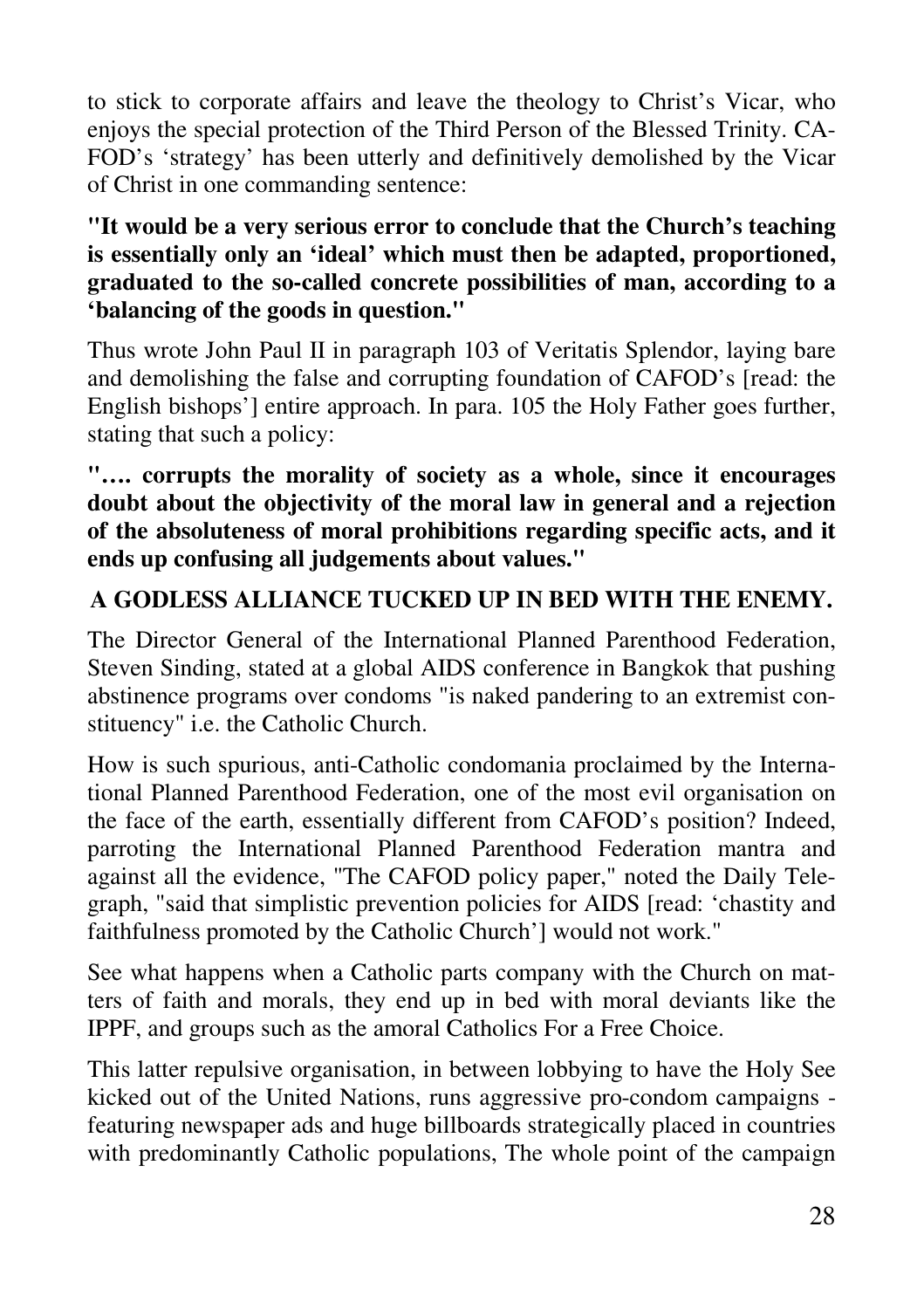to stick to corporate affairs and leave the theology to Christ's Vicar, who enjoys the special protection of the Third Person of the Blessed Trinity. CA-FOD's 'strategy' has been utterly and definitively demolished by the Vicar of Christ in one commanding sentence:

#### **"It would be a very serious error to conclude that the Church's teaching is essentially only an 'ideal' which must then be adapted, proportioned, graduated to the so-called concrete possibilities of man, according to a 'balancing of the goods in question."**

Thus wrote John Paul II in paragraph 103 of Veritatis Splendor, laying bare and demolishing the false and corrupting foundation of CAFOD's [read: the English bishops'] entire approach. In para. 105 the Holy Father goes further, stating that such a policy:

#### **"…. corrupts the morality of society as a whole, since it encourages doubt about the objectivity of the moral law in general and a rejection of the absoluteness of moral prohibitions regarding specific acts, and it ends up confusing all judgements about values."**

## **A GODLESS ALLIANCE TUCKED UP IN BED WITH THE ENEMY.**

The Director General of the International Planned Parenthood Federation, Steven Sinding, stated at a global AIDS conference in Bangkok that pushing abstinence programs over condoms "is naked pandering to an extremist constituency" i.e. the Catholic Church.

How is such spurious, anti-Catholic condomania proclaimed by the International Planned Parenthood Federation, one of the most evil organisation on the face of the earth, essentially different from CAFOD's position? Indeed, parroting the International Planned Parenthood Federation mantra and against all the evidence, "The CAFOD policy paper," noted the Daily Telegraph, "said that simplistic prevention policies for AIDS [read: 'chastity and faithfulness promoted by the Catholic Church'] would not work."

See what happens when a Catholic parts company with the Church on matters of faith and morals, they end up in bed with moral deviants like the IPPF, and groups such as the amoral Catholics For a Free Choice.

This latter repulsive organisation, in between lobbying to have the Holy See kicked out of the United Nations, runs aggressive pro-condom campaigns featuring newspaper ads and huge billboards strategically placed in countries with predominantly Catholic populations, The whole point of the campaign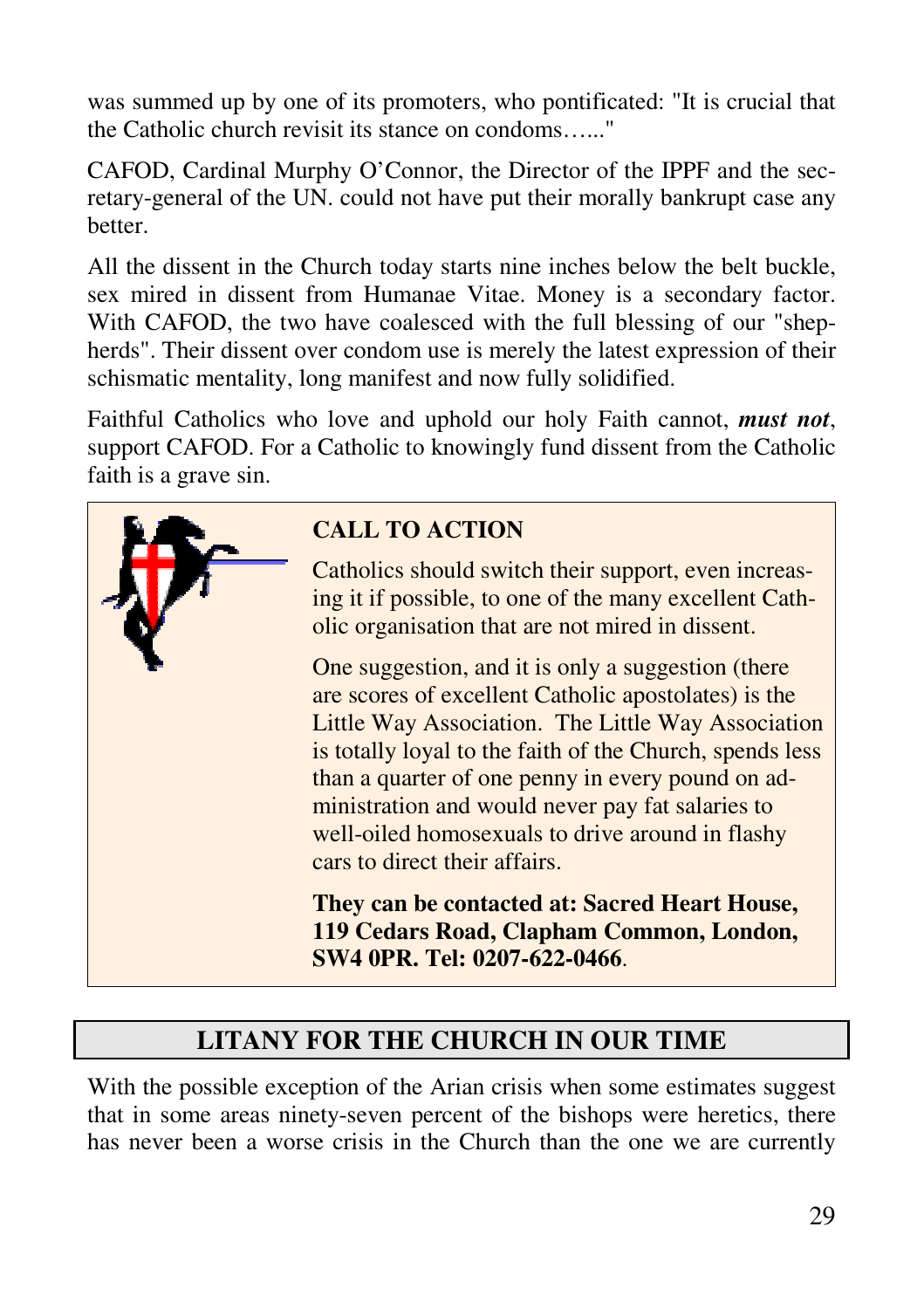was summed up by one of its promoters, who pontificated: "It is crucial that the Catholic church revisit its stance on condoms…..."

CAFOD, Cardinal Murphy O'Connor, the Director of the IPPF and the secretary-general of the UN. could not have put their morally bankrupt case any better.

All the dissent in the Church today starts nine inches below the belt buckle, sex mired in dissent from Humanae Vitae. Money is a secondary factor. With CAFOD, the two have coalesced with the full blessing of our "shepherds". Their dissent over condom use is merely the latest expression of their schismatic mentality, long manifest and now fully solidified.

Faithful Catholics who love and uphold our holy Faith cannot, *must not*, support CAFOD. For a Catholic to knowingly fund dissent from the Catholic faith is a grave sin.



# **LITANY FOR THE CHURCH IN OUR TIME**

With the possible exception of the Arian crisis when some estimates suggest that in some areas ninety-seven percent of the bishops were heretics, there has never been a worse crisis in the Church than the one we are currently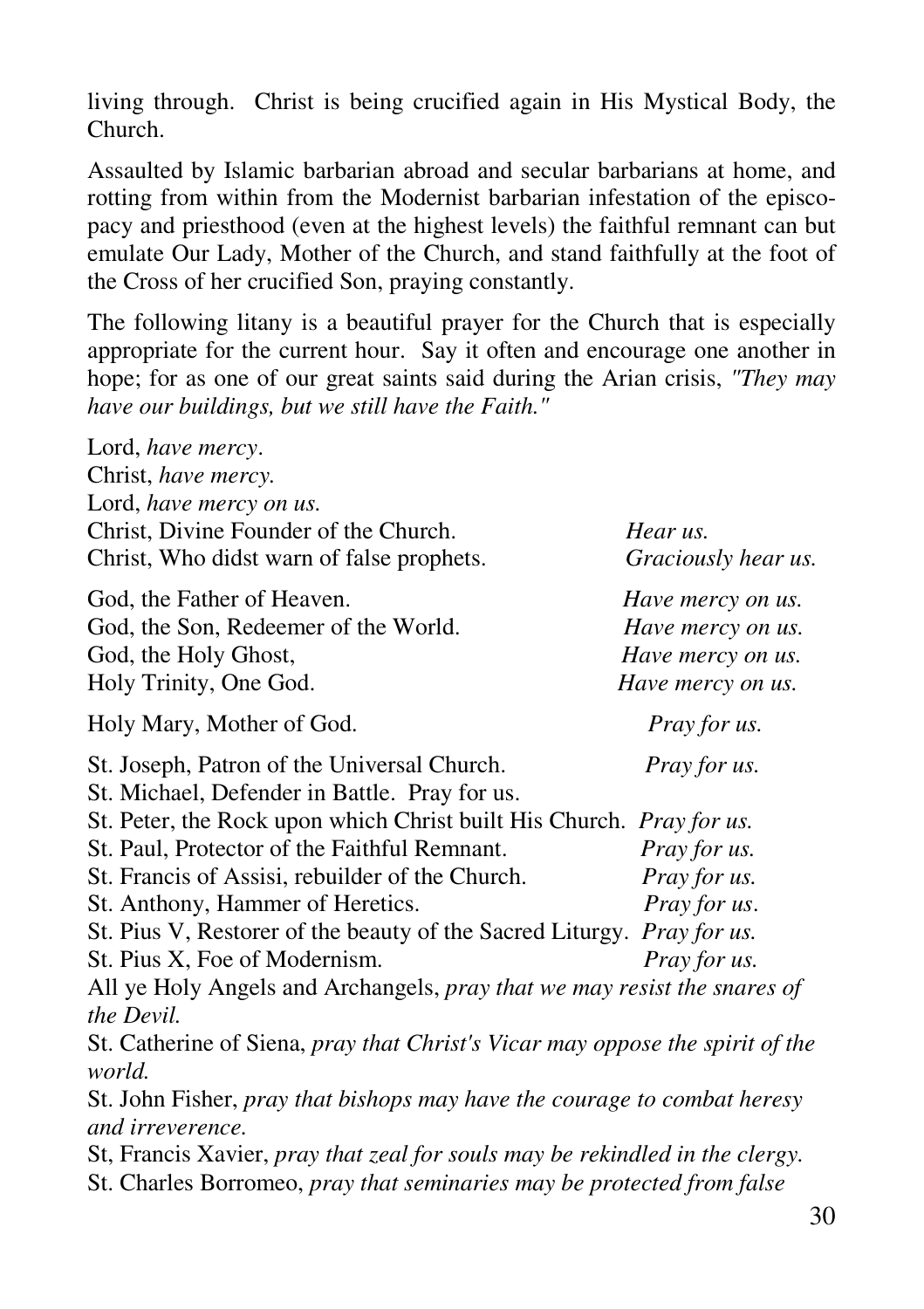living through. Christ is being crucified again in His Mystical Body, the Church.

Assaulted by Islamic barbarian abroad and secular barbarians at home, and rotting from within from the Modernist barbarian infestation of the episcopacy and priesthood (even at the highest levels) the faithful remnant can but emulate Our Lady, Mother of the Church, and stand faithfully at the foot of the Cross of her crucified Son, praying constantly.

The following litany is a beautiful prayer for the Church that is especially appropriate for the current hour. Say it often and encourage one another in hope; for as one of our great saints said during the Arian crisis, *"They may have our buildings, but we still have the Faith."*

| Lord, have mercy.                                                                       |                     |
|-----------------------------------------------------------------------------------------|---------------------|
| Christ, have mercy.                                                                     |                     |
| Lord, have mercy on us.                                                                 |                     |
| Christ, Divine Founder of the Church.                                                   | Hear us.            |
| Christ, Who didst warn of false prophets.                                               | Graciously hear us. |
| God, the Father of Heaven.                                                              | Have mercy on us.   |
| God, the Son, Redeemer of the World.                                                    | Have mercy on us.   |
| God, the Holy Ghost,                                                                    | Have mercy on us.   |
| Holy Trinity, One God.                                                                  | Have mercy on us.   |
| Holy Mary, Mother of God.                                                               | Pray for us.        |
| St. Joseph, Patron of the Universal Church.                                             | Pray for us.        |
| St. Michael, Defender in Battle. Pray for us.                                           |                     |
| St. Peter, the Rock upon which Christ built His Church. Pray for us.                    |                     |
| St. Paul, Protector of the Faithful Remnant.                                            | Pray for us.        |
| St. Francis of Assisi, rebuilder of the Church.                                         | Pray for us.        |
| St. Anthony, Hammer of Heretics.                                                        | Pray for us.        |
| St. Pius V, Restorer of the beauty of the Sacred Liturgy. Pray for us.                  |                     |
| St. Pius X, Foe of Modernism.                                                           | Pray for us.        |
| All ye Holy Angels and Archangels, pray that we may resist the snares of                |                     |
| the Devil.                                                                              |                     |
| St. Catherine of Siena, pray that Christ's Vicar may oppose the spirit of the<br>world. |                     |
|                                                                                         |                     |
| St. John Fisher, pray that bishops may have the courage to combat heresy                |                     |
| and irreverence.                                                                        |                     |
| St, Francis Xavier, pray that zeal for souls may be rekindled in the clergy.            |                     |
| St. Charles Borromeo, pray that seminaries may be protected from false                  |                     |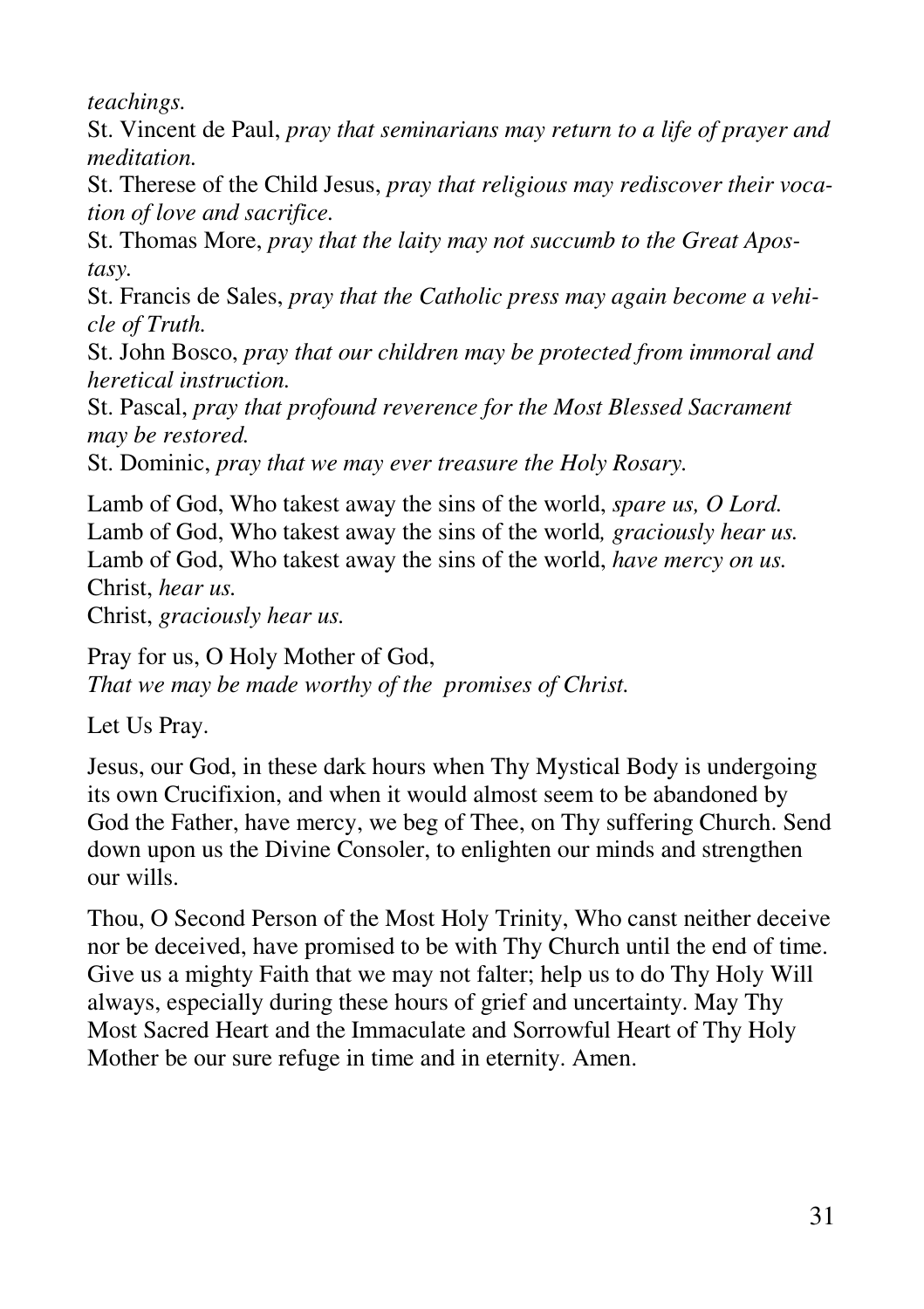*teachings.* 

St. Vincent de Paul, *pray that seminarians may return to a life of prayer and meditation.* 

St. Therese of the Child Jesus, *pray that religious may rediscover their vocation of love and sacrifice.* 

St. Thomas More, *pray that the laity may not succumb to the Great Apostasy.* 

St. Francis de Sales, *pray that the Catholic press may again become a vehicle of Truth.* 

St. John Bosco, *pray that our children may be protected from immoral and heretical instruction.* 

St. Pascal, *pray that profound reverence for the Most Blessed Sacrament may be restored.* 

St. Dominic, *pray that we may ever treasure the Holy Rosary.*

Lamb of God, Who takest away the sins of the world, *spare us, O Lord.*  Lamb of God, Who takest away the sins of the world*, graciously hear us.* Lamb of God, Who takest away the sins of the world, *have mercy on us.*  Christ, *hear us.* 

Christ, *graciously hear us.* 

Pray for us, O Holy Mother of God, *That we may be made worthy of the promises of Christ.* 

Let Us Pray.

Jesus, our God, in these dark hours when Thy Mystical Body is undergoing its own Crucifixion, and when it would almost seem to be abandoned by God the Father, have mercy, we beg of Thee, on Thy suffering Church. Send down upon us the Divine Consoler, to enlighten our minds and strengthen our wills.

Thou, O Second Person of the Most Holy Trinity, Who canst neither deceive nor be deceived, have promised to be with Thy Church until the end of time. Give us a mighty Faith that we may not falter; help us to do Thy Holy Will always, especially during these hours of grief and uncertainty. May Thy Most Sacred Heart and the Immaculate and Sorrowful Heart of Thy Holy Mother be our sure refuge in time and in eternity. Amen.